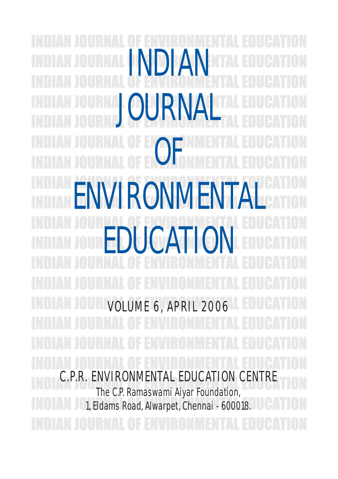INDIAN JOURN/ F OF FNVIRONMENT EDUCATION VOLUME 6, APRIL 2006 C.P.R. ENVIRONMENTAL EDUCATION CENTRE The C.P. Ramaswami Aiyar Foundation, 1, Eldams Road, Alwarpet, Chennai - 600018.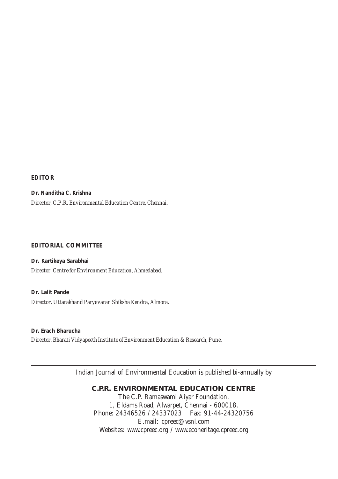**EDITOR**

**Dr. Nanditha C. Krishna** *Director, C.P.R. Environmental Education Centre, Chennai.*

#### **EDITORIAL COMMITTEE**

**Dr. Kartikeya Sarabhai** *Director, Centre for Environment Education, Ahmedabad.*

**Dr. Lalit Pande** *Director, Uttarakhand Paryavaran Shiksha Kendra, Almora.*

**Dr. Erach Bharucha** *Director, Bharati Vidyapeeth Institute of Environment Education & Research, Pune.*

Indian Journal of Environmental Education is published bi-annually by

**C.P.R. ENVIRONMENTAL EDUCATION CENTRE** The C.P. Ramaswami Aiyar Foundation, 1, Eldams Road, Alwarpet, Chennai - 600018. Phone: 24346526 / 24337023 Fax: 91-44-24320756 E.mail: cpreec@vsnl.com Websites: www.cpreec.org / www.ecoheritage.cpreec.org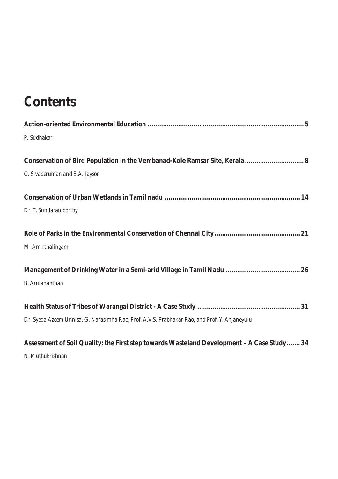# **Contents**

| P. Sudhakar                                                                                   |
|-----------------------------------------------------------------------------------------------|
| Conservation of Bird Population in the Vembanad-Kole Ramsar Site, Kerala 8                    |
| C. Sivaperuman and E.A. Jayson                                                                |
|                                                                                               |
| Dr. T. Sundaramoorthy                                                                         |
|                                                                                               |
| M. Amirthalingam                                                                              |
|                                                                                               |
| <b>B.</b> Arulananthan                                                                        |
|                                                                                               |
| Dr. Syeda Azeem Unnisa, G. Narasimha Rao, Prof. A.V.S. Prabhakar Rao, and Prof. Y. Anjaneyulu |
| Assessment of Soil Quality: the First step towards Wasteland Development - A Case Study  34   |

*N. Muthukrishnan*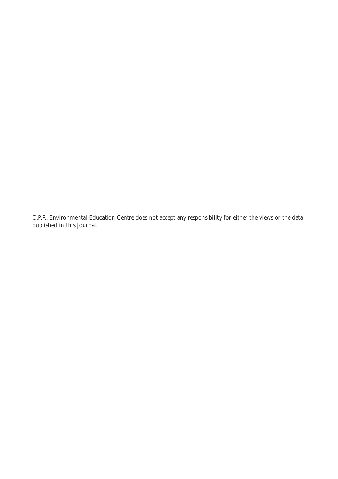C.P.R. Environmental Education Centre does not accept any responsibility for either the views or the data published in this Journal.

 $4.4$  Volume 6,  $4.4$  Volume 6,  $4.4$  Volume 6,  $4.4$  Volume 6,  $4.4$  Volume 6,  $4.4$  Volume 6,  $4.4$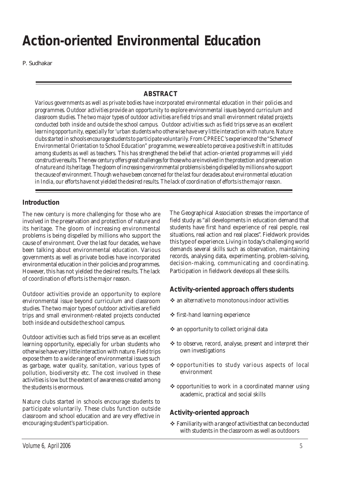# **Action-oriented Environmental Education**

P. Sudhakar

## **ABSTRACT**

*Various governments as well as private bodies have incorporated environmental education in their policies and programmes. Outdoor activities provide an opportunity to explore environmental issues beyond curriculum and classroom studies. The two major types of outdoor activities are field trips and small environment related projects conducted both inside and outside the school campus. Outdoor activities such as field trips serve as an excellent learning opportunity, especially for 'urban students who otherwise have very little interaction with nature. Nature clubs started in schools encourage students to participate voluntarily. From CPREEC's experience of the "Scheme of Environmental Orientation to School Education" programme, we were able to perceive a positive shift in attitudes among students as well as teachers. This has strengthened the belief that action-oriented programmes will yield constructive results. The new century offers great challenges for those who are involved in the protection and preservation of nature and its heritage. The gloom of increasing environmental problems is being dispelled by millions who support the cause of environment. Though we have been concerned for the last four decades about environmental education in India, our efforts have not yielded the desired results. The lack of coordination of efforts is the major reason.*

#### **Introduction**

The new century is more challenging for those who are involved in the preservation and protection of nature and its heritage. The gloom of increasing environmental problems is being dispelled by millions who support the cause of environment. Over the last four decades, we have been talking about environmental education. Various governments as well as private bodies have incorporated environmental education in their policies and programmes. However, this has not yielded the desired results. The lack of coordination of efforts is the major reason.

Outdoor activities provide an opportunity to explore environmental issue beyond curriculum and classroom studies. The two major types of outdoor activities are field trips and small environment-related projects conducted both inside and outside the school campus.

Outdoor activities such as field trips serve as an excellent learning opportunity, especially for urban students who otherwise have very little interaction with nature. Field trips expose them to a wide range of environmental issues such as garbage, water quality, sanitation, various types of pollution, biodiversity etc. The cost involved in these activities is low but the extent of awareness created among the students is enormous.

Nature clubs started in schools encourage students to participate voluntarily. These clubs function outside classroom and school education and are very effective in encouraging student's participation.

The Geographical Association stresses the importance of field study as "all developments in education demand that students have first hand experience of real people, real situations, real action and real places". Fieldwork provides this type of experience. Living in today's challenging world demands several skills such as observation, maintaining records, analysing data, experimenting, problem-solving, decision-making, communicating and coordinating. Participation in fieldwork develops all these skills.

### **Activity-oriented approach offers students**

- $\cdot$  an alternative to monotonous indoor activities
- $\div$  first-hand learning experience
- $\triangleq$  an opportunity to collect original data
- ! to observe, record, analyse, present and interpret their own investigations
- \* opportunities to study various aspects of local environment
- $\cdot$  opportunities to work in a coordinated manner using academic, practical and social skills

### **Activity-oriented approach**

 $\div$  Familiarity with a range of activities that can be conducted with students in the classroom as well as outdoors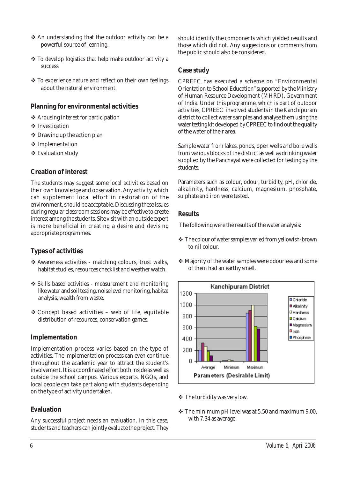- \* An understanding that the outdoor activity can be a powerful source of learning.
- \* To develop logistics that help make outdoor activity a success
- ! To experience nature and reflect on their own feelings about the natural environment.

#### **Planning for environmental activities**

- ❖ Arousing interest for participation
- ❖ Investigation
- $\div$  Drawing up the action plan
- ! Implementation
- ! Evaluation study

#### **Creation of interest**

The students may suggest some local activities based on their own knowledge and observation. Any activity, which can supplement local effort in restoration of the environment, should be acceptable. Discussing these issues during regular classroom sessions may be effective to create interest among the students. Site visit with an outside expert is more beneficial in creating a desire and devising appropriate programmes.

#### **Types of activities**

- ! Awareness activities matching colours, trust walks, habitat studies, resources checklist and weather watch.
- ! Skills based activities measurement and monitoring like water and soil testing, noise level monitoring, habitat analysis, wealth from waste.
- $\triangle$  Concept based activities web of life, equitable distribution of resources, conservation games.

#### **Implementation**

Implementation process varies based on the type of activities. The implementation process can even continue throughout the academic year to attract the student's involvement. It is a coordinated effort both inside as well as outside the school campus. Various experts, NGOs, and local people can take part along with students depending on the type of activity undertaken.

#### **Evaluation**

Any successful project needs an evaluation. In this case, students and teachers can jointly evaluate the project. They should identify the components which yielded results and those which did not. Any suggestions or comments from the public should also be considered.

#### **Case study**

CPREEC has executed a scheme on "Environmental Orientation to School Education" supported by the Ministry of Human Resource Development (MHRD), Government of India. Under this programme, which is part of outdoor activities, CPREEC involved students in the Kanchipuram district to collect water samples and analyse them using the water testing kit developed by CPREEC to find out the quality of the water of their area.

Sample water from lakes, ponds, open wells and bore wells from various blocks of the district as well as drinking water supplied by the Panchayat were collected for testing by the students.

Parameters such as colour, odour, turbidity, pH, chloride, alkalinity, hardness, calcium, magnesium, phosphate, sulphate and iron were tested.

#### **Results**

The following were the results of the water analysis:

- \* The colour of water samples varied from yellowish-brown to nil colour.
- ! Majority of the water samples were odourless and some of them had an earthy smell.



- $\div$  The turbidity was very low.
- $\div$  The minimum pH level was at 5.50 and maximum 9.00, with 7.34 as average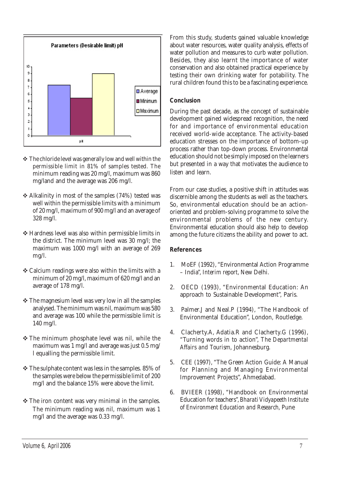

- $\div$  The chloride level was generally low and well within the permissible limit in 81% of samples tested. The minimum reading was 20 mg/l, maximum was 860 mg/land and the average was 206 mg/l.
- $\triangle$  Alkalinity in most of the samples (74%) tested was well within the permissible limits with a minimum of 20 mg/l, maximum of 900 mg/l and an average of 328 mg/l.
- ! Hardness level was also within permissible limits in the district. The minimum level was 30 mg/l; the maximum was 1000 mg/l with an average of 269 mg/l.
- $\triangleleft$  Calcium readings were also within the limits with a minimum of 20 mg/l, maximum of 620 mg/l and an average of 178 mg/l.
- $\cdot$  The magnesium level was very low in all the samples analysed. The minimum was nil, maximum was 580 and average was 100 while the permissible limit is 140 mg/l.
- \* The minimum phosphate level was nil, while the maximum was 1 mg/l and average was just 0.5 mg/ l equalling the permissible limit.
- $\div$  The sulphate content was less in the samples. 85% of the samples were below the permissible limit of 200 mg/l and the balance 15% were above the limit.
- $\cdot$  The iron content was very minimal in the samples. The minimum reading was nil, maximum was 1 mg/l and the average was 0.33 mg/l.

From this study, students gained valuable knowledge about water resources, water quality analysis, effects of water pollution and measures to curb water pollution. Besides, they also learnt the importance of water conservation and also obtained practical experience by testing their own drinking water for potability. The rural children found this to be a fascinating experience.

#### **Conclusion**

During the past decade, as the concept of sustainable development gained widespread recognition, the need for and importance of environmental education received world-wide acceptance. The activity-based education stresses on the importance of bottom-up process rather than top-down process. Environmental education should not be simply imposed on the learners but presented in a way that motivates the audience to listen and learn.

From our case studies, a positive shift in attitudes was discernible among the students as well as the teachers. So, environmental education should be an actionoriented and problem-solving programme to solve the environmental problems of the new century. Environmental education should also help to develop among the future citizens the ability and power to act.

#### **References**

- 1. MoEF (1992), "Environmental Action Programme – India", *Interim report*, New Delhi.
- 2. OECD (1993), "Environmental Education: An approach to Sustainable Development", Paris.
- 3. Palmer.J and Neal.P (1994), "The Handbook of Environmental Education", London, Routledge.
- 4. Clacherty.A, Adatia.R and Clacherty.G (1996), "Turning words in to action", *The Departmental Affairs and Tourism*, Johannesburg.
- 5. CEE (1997), "The Green Action Guide: A Manual for Planning and Managing Environmental Improvement Projects", Ahmedabad.
- 6. BVIEER (1998), "Handbook on Environmental Education for teachers", *Bharati Vidyapeeth Institute of Environment Education and Research,* Pune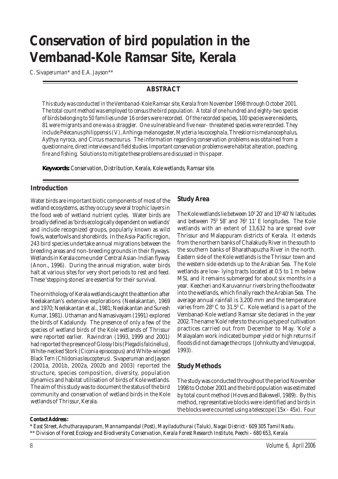# **Conservation of bird population in the Vembanad-Kole Ramsar Site, Kerala**

*C. Sivaperuman\* and E.A. Jayson\*\**

#### **ABSTRACT**

*This study was conducted in the Vembanad-Kole Ramsar site, Kerala from November 1998 through October 2001. The total count method was employed to census the bird population. A total of one hundred and eighty-two species of birds belonging to 50 families under 16 orders were recorded. Of the recorded species, 100 species were residents, 81 were migrants and one was a straggler. One vulnerable and five near- threatened species were recorded. They include Pelecanus philippensis (V), Anhinga melanogaster, Mycteria leucocephala, Threskiornis melanocephalus, Aythya nyroca, and Circus macrourus. The information regarding conservation problems was obtained from a questionnaire, direct interviews and field studies. Important conservation problems were habitat alteration, poaching, fire and fishing. Solutions to mitigate these problems are discussed in this paper.*

*Keywords: Conservation, Distribution, Kerala, Kole wetlands, Ramsar site.*

#### **Introduction**

Water birds are important biotic components of most of the wetland ecosystems, as they occupy several trophic layers in the food web of wetland nutrient cycles. Water birds are broadly defined as 'birds ecologically dependent on wetlands' and include recognized groups, popularly known as wild fowls, waterfowls and shorebirds. In the Asia-Pacific region, 243 bird species undertake annual migrations between the breeding areas and non-breeding grounds in their flyways. Wetlands in Kerala come under Central Asian-Indian flyway (Anon., 1996). During the annual migration, water birds halt at various sites for very short periods to rest and feed. These 'stepping stones' are essential for their survival.

The ornithology of Kerala wetlands caught the attention after Neelakantan's extensive explorations (Neelakantan, 1969 and 1970; Neelakantan et al., 1981; Neelakantan and Suresh Kumar, 1981). Uthaman and Namasivayam (1991) explored the birds of Kadalundy. The presence of only a few of the species of wetland birds of the Kole wetlands of Thrissur were reported earlier. Ravindran (1993, 1999 and 2001) had reported the presence of Glossy Ibis (*Plegadis falcinellus*), White-necked Stork (*Ciconia episocopus*) and White-winged Black Tern (*Chlidonias leucopterus*). Sivaperuman and Jayson (2001a, 2001b, 2002a, 2002b and 2003) reported the structure, species composition, diversity, population dynamics and habitat utilisation of birds of Kole wetlands. The aim of this study was to document the status of the bird community and conservation of wetland birds in the Kole wetlands of Thrissur, Kerala.

#### **Study Area**

The Kole wetlands lie between  $10^{\rm o}$  20' and  $10^{\rm o}$  40' N latitudes and between 75<sup>0</sup> 58' and 76<sup>0</sup> 11' E longitudes. The Kole wetlands with an extent of 13,632 ha are spread over Thrissur and Malappuram districts of Kerala. It extends from the northern banks of Chalakudy River in the south to the southern banks of Bharathapuzha River in the north. Eastern side of the Kole wetlands is the Thrissur town and the western side extends up to the Arabian Sea. The Kole wetlands are low- lying tracts located at 0.5 to 1 m below MSL and it remains submerged for about six months in a year. Keecheri and Karuvannur rivers bring the floodwater into the wetlands, which finally reach the Arabian Sea. The average annual rainfall is 3,200 mm and the temperature varies from 28 $^{\rm o}$  C to 31.5 $^{\rm o}$  C. Kole wetland is a part of the Vembanad-Kole wetland Ramsar site declared in the year 2002. The name 'Kole' refers to the unique type of cultivation practices carried out from December to May. 'Kole' a Malayalam work indicated bumper yield or high returns if floods did not damage the crops (Johnkutty and Venugopal, 1993).

#### **Study Methods**

The study was conducted throughout the period November 1998 to October 2001 and the bird population was estimated by total count method (Hoves and Bakewell, 1989). By this method, representative blocks were identified and birds in the blocks were counted using a telescope (15x - 45x). Four

#### *Contact Address :*

*\* East Street, Achutharayapuram, Mannampandal (Post), Mayiladuthurai (Taluk), Nagai District - 609 305 Tamil Nadu. \*\* Division of Forest Ecology and Biodiversity Conservation, Kerala Forest Research Institute, Peechi - 680 653, Kerala*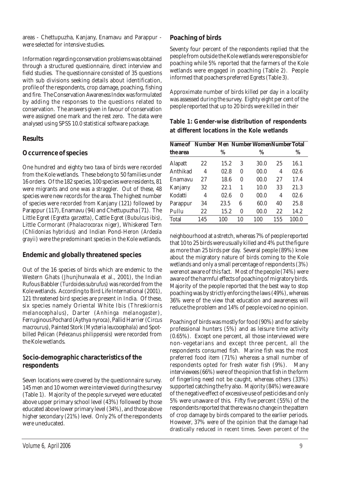areas - Chettupuzha, Kanjany, Enamavu and Parappur were selected for intensive studies.

Information regarding conservation problems was obtained through a structured questionnaire, direct interview and field studies. The questionnaire consisted of 35 questions with sub divisions seeking details about identification, profile of the respondents, crop damage, poaching, fishing and fire. The Conservation Awareness Index was formulated by adding the responses to the questions related to conservation. The answers given in favour of conservation were assigned one mark and the rest zero. The data were analysed using SPSS 10.0 statistical software package.

#### **Results**

#### **Occurrence ofspecies**

One hundred and eighty two taxa of birds were recorded from the Kole wetlands. These belong to 50 families under 16 orders. Of the 182 species, 100 species were residents, 81 were migrants and one was a straggler. Out of these, 48 species were new records for the area. The highest number of species were recorded from Kanjany (121) followed by Parappur (117), Enamavu (94) and Chettupuzha (71). The Little Egret (*Egretta garzetta*), Cattle Egret (*Bubulcus ibis*), Little Cormorant (*Phalacrocorax niger*), Whiskered Tern (*Chlidonias hybridus*) and Indian Pond-Heron (*Ardeola grayii*) were the predominant species in the Kole wetlands.

#### **Endemic and globally threatened species**

Out of the 16 species of birds which are endemic to the Western Ghats (Jhunjhunwala et al., 2001), the Indian Rufous Babbler (*Turdoides subrufus*) was recorded from the Kole wetlands. According to Bird Life International (2001), 121 threatened bird species are present in India. Of these, six species namely Oriental White Ibis (*Threskiornis melanocephalus*), Darter (*Anhinga melanogaster*), Ferruginous Pochard (*Aythya nyroca*), Pallid Harrier (*Circus macrourus*), Painted Stork (*Mycteria leucocephala*) and Spotbilled Pelican (*Pelecanus philippensis*) were recorded from the Kole wetlands.

#### **Socio-demographic characteristics of the respondents**

Seven locations were covered by the questionnaire survey. 145 men and 10 women were interviewed during the survey (Table 1). Majority of the people surveyed were educated above upper primary school level (43%) followed by those educated above lower primary level (34%), and those above higher secondary (21%) level. Only 2% of the respondents were uneducated.

#### **Poaching of birds**

Seventy four percent of the respondents replied that the people from outside the Kole wetlands were responsible for poaching while 5% reported that the farmers of the Kole wetlands were engaged in poaching (Table 2). People informed that poachers preferred Egrets (Table 3).

Approximate number of birds killed per day in a locality was assessed during the survey. Eighty eight per cent of the people reported that up to 20 birds were killed in their

**Table 1: Gender-wise distribution of respondents at different locations in the Kole wetlands**

| Name of Number Men Number WomenNumber Total |     |      |    |      |     |       |
|---------------------------------------------|-----|------|----|------|-----|-------|
| the area                                    |     | $\%$ |    | $\%$ |     | %     |
| Alapatt                                     | 22  | 15.2 | 3  | 30.0 | 25  | 16.1  |
| Anthikad                                    | 4   | 02.8 | 0  | 00.0 | 4   | 02.6  |
| Enamavu                                     | 27  | 18.6 | 0  | 00.0 | 27  | 17.4  |
| Kanjany                                     | 32  | 22.1 | 1  | 10.0 | 33  | 21.3  |
| Kodatti                                     | 4   | 02.6 | 0  | 00.0 | 4   | 02.6  |
| Parappur                                    | 34  | 23.5 | 6  | 60.0 | 40  | 25.8  |
| Pullu                                       | 22  | 15.2 | 0  | 00.0 | 22  | 14.2  |
| <b>Total</b>                                | 145 | 100  | 10 | 100  | 155 | 100.0 |

neighbourhood at a stretch, whereas 7% of people reported that 10 to 25 birds were usually killed and 4% put the figure as more than 25 birds per day. Several people (89%) knew about the migratory nature of birds coming to the Kole wetlands and only a small percentage of respondents (3%) werenot aware of this fact. Most of the people (74%) were aware of the harmful effects of poaching of migratory birds. Majority of the people reported that the best way to stop poaching was by strictly enforcing the laws (49%), whereas 36% were of the view that education and awareness will reduce the problem and 14% of people voiced no opinion.

Poaching of birds was mostly for food (90%) and for sale by professional hunters (5%) and as leisure time activity (0.65%). Except one percent, all those interviewed were non-vegetarians and except three percent, all the respondents consumed fish. Marine fish was the most preferred food item (71%) whereas a small number of respondents opted for fresh water fish (9%). Many interviewees (66%) were of the opinion that fish in the form of fingerling need not be caught, whereas others (33%) supported catching the fry also. Majority (84%) were aware of the negative effect of excessive use of pesticides and only 5% were unaware of this. Fifty five percent (55%) of the respondents reported that there was no change in the pattern of crop damage by birds compared to the earlier periods. However, 37% were of the opinion that the damage had drastically reduced in recent times. Seven percent of the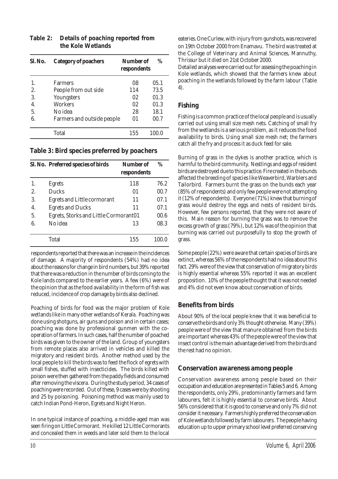| Sl. No. | <b>Category of poachers</b> | Number of<br>respondents | $\%$  |
|---------|-----------------------------|--------------------------|-------|
|         | <b>Farmers</b>              | 08                       | 05.1  |
| 2.      | People from out side        | 114                      | 73.5  |
| 3.      | Youngsters                  | 02                       | 01.3  |
| 4.      | <b>Workers</b>              | 02                       | 01.3  |
| 5.      | No idea                     | 28                       | 18.1  |
| 6.      | Farmers and outside people  | 01                       | 00.7  |
|         | Total                       | 155                      | 100.0 |

#### **Table 2: Details of poaching reported from the Kole Wetlands**

#### **Table 3: Bird species preferred by poachers**

|    | Sl. No. Preferred species of birds    | Number of<br>respondents | $\%$  |
|----|---------------------------------------|--------------------------|-------|
| 1. | <b>Egrets</b>                         | 118                      | 76.2  |
| 2. | <b>Ducks</b>                          | 01                       | 00.7  |
| 3. | Egrets and Little cormorant           | 11                       | 07.1  |
| 4. | <b>Egrets and Ducks</b>               | 11                       | 07.1  |
| 5. | Egrets, Storks and Little Cormorant01 |                          | 00.6  |
| 6. | No idea                               | 13                       | 08.3  |
|    | Total                                 | 155                      | 100.0 |

respondents reported that there was an increase in the incidences of damage. A majority of respondents (54%) had no idea about the reasons for change in bird numbers, but 39% reported that there was a reduction in the number of birds coming to the Kole lands compared to the earlier years. A few (6%) were of the opinion that as the food availability in the form of fish was reduced, incidence of crop damage by birds also declined.

Poaching of birds for food was the major problem of Kole wetlands like in many other wetlands of Kerala. Poaching was done using shotguns, air guns and poison and in certain cases; poaching was done by professional gunmen with the cooperation of farmers. In such cases, half the number of poached birds was given to the owner of the land. Group of youngsters from remote places also arrived in vehicles and killed the migratory and resident birds. Another method used by the local people to kill the birds was to feed the flock of egrets with small fishes, stuffed with insecticides. The birds killed with poison were then gathered from the paddy fields and consumed after removing the viscera. During the study period, 34 cases of poaching were recorded. Out of these, 9 cases were by shooting and 25 by poisoning. Poisoning method was mainly used to catch Indian Pond-Heron, Egrets and Night Heron.

In one typical instance of poaching, a middle-aged man was seen firing on Little Cormorant. He killed 12 Little Cormorants and concealed them in weeds and later sold them to the local

eateries. One Curlew, with injury from gunshots, was recovered on 19th October 2000 from Enamavu. The bird was treated at the College of Veterinary and Animal Sciences, Mannuthy, Thrissur but it died on 21st October 2000.

Detailed analyses were carried out for assessing the poaching in Kole wetlands, which showed that the farmers knew about poaching in the wetlands followed by the farm labour (Table 4).

#### **Fishing**

Fishing is a common practice of the local people and is usually carried out using small size mesh nets. Catching of small fry from the wetlands is a serious problem, as it reduces the food availability to birds. Using small size mesh net; the farmers catch all the fry and process it as duck feed for sale.

Burning of grass in the dykes is another practice, which is harmful to the bird community. Nestlings and eggs of resident birds are destroyed due to this practice. Fire created in the bunds affected the breeding of species like Weaverbird, Warblers and Tailorbird. Farmers burnt the grass on the bunds each year (85% of respondents) and only few people were not attempting it (12% of respondents). Everyone (71%) knew that burning of grass would destroy the eggs and nests of resident birds. However, few persons reported, that they were not aware of this. Main reason for burning the grass was to remove the excess growth of grass (79%), but 12% was of the opinion that burning was carried out purposefully to stop the growth of grass.

Some people (22%) were aware that certain species of birds are extinct, whereas 56% of the respondents had no idea about this fact. 29% were of the view that conservation of migratory birds is highly essential whereas 55% reported it was an excellent proposition. 10% of the people thought that it was not needed and 4% did not even know about conservation of birds.

### **Benefits from birds**

About 90% of the local people knew that it was beneficial to conserve the birds and only 3% thought otherwise. Many (39%) people were of the view that manure obtained from the birds are important whereas 43% of the people were of the view that insect control is the main advantage derived from the birds and the rest had no opinion.

#### **Conservation awareness among people**

Conservation awareness among people based on their occupation and education are presented in Tables 5 and 6. Among the respondents, only 29%, predominantly farmers and farm labourers, felt it is highly essential to conserve birds. About 56% considered that it is good to conserve and only 7% did not consider it necessary. Farmers highly preferred the conservation of Kole wetlands followed by farm labourers. The people having education up to upper primary school level preferred conserving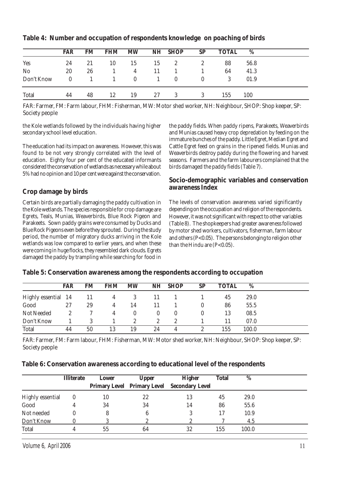|                | FAR      | FM | <b>FHM</b> | <b>MW</b>    |    | NH SHOP  | <b>SP</b>    | <b>TOTAL</b> | %    |
|----------------|----------|----|------------|--------------|----|----------|--------------|--------------|------|
| Yes            | 24       | 21 | 10         | 15           | 15 | 2        | $\mathbf{2}$ | 88           | 56.8 |
| N <sub>o</sub> | 20       | 26 |            | 4            |    |          |              | 64           | 41.3 |
| Don't Know     | $\theta$ |    |            | $\mathbf{0}$ |    | $\theta$ | $\theta$     | 3            | 01.9 |
| <b>Total</b>   | 44       | 48 | 12         | 19           | 27 | 3        | 3            | 155          | 100  |

**Table 4: Number and occupation of respondents knowledge on poaching of birds**

FAR: Farmer, FM: Farm labour, FHM: Fisherman, MW: Motor shed worker, NH: Neighbour, SHOP: Shop keeper, SP: Society people

the Kole wetlands followed by the individuals having higher secondary school level education.

The education had its impact on awareness. However, this was found to be not very strongly correlated with the level of education. Eighty four per cent of the educated informants considered the conservation of wetlands as necessary while about 5% had no opinion and 10 per cent were against the conservation.

#### **Crop damage by birds**

Certain birds are partially damaging the paddy cultivation in the Kole wetlands. The species responsible for crop damage are Egrets, Teals, Munias, Weaverbirds, Blue Rock Pigeon and Parakeets. Sown paddy grains were consumed by Ducks and Blue Rock Pigeons even before they sprouted. During the study period, the number of migratory ducks arriving in the Kole wetlands was low compared to earlier years, and when these were coming in huge flocks, they resembled dark clouds. Egrets damaged the paddy by trampling while searching for food in

the paddy fields. When paddy ripens, Parakeets, Weaverbirds and Munias caused heavy crop depredation by feeding on the immature bunches of the paddy. Little Egret, Median Egret and Cattle Egret feed on grains in the ripened fields. Munias and Weaverbirds destroy paddy during the flowering and harvest seasons. Farmers and the farm labourers complained that the birds damaged the paddy fields (Table 7).

#### **Socio-demographic variables and conservation awareness Index**

The levels of conservation awareness varied significantly depending on the occupation and religion of the respondents. However, it was not significant with respect to other variables (Table 8). The shopkeepers had greater awareness followed by motor shed workers, cultivators, fisherman, farm labour and others (P<0.05). The persons belonging to religion other than the Hindu are  $(P<0.05)$ .

|                     | FAR | FM | <b>FHM</b> | <b>MW</b> | NH | <b>SHOP</b> | <b>SP</b> | <b>TOTAL</b> | %     |  |
|---------------------|-----|----|------------|-----------|----|-------------|-----------|--------------|-------|--|
| Highly essential 14 |     | 11 | 4          | 3         | 11 |             |           | 45           | 29.0  |  |
| Good                | 27  | 29 | 4          | 14        |    |             |           | 86           | 55.5  |  |
| Not Needed          | 2   |    | 4          |           |    | 0           |           | 13           | 08.5  |  |
| Don't Know          |     |    |            | 2         | 2  | 2           |           | 11           | 07.0  |  |
| <b>Total</b>        | 44  | 50 | 13         | 19        | 24 |             |           | 155          | 100.0 |  |

**Table 5: Conservation awareness among the respondents according to occupation**

FAR: Farmer, FM: Farm labour, FHM: Fisherman, MW: Motor shed worker, NH: Neighbour, SHOP: Shop keeper, SP: Society people

| Table 6: Conservation awareness according to educational level of the respondents |  |
|-----------------------------------------------------------------------------------|--|
|-----------------------------------------------------------------------------------|--|

|                  | <b>Illiterate</b> | Lower | <b>Upper</b> | <b>Higher</b>                               | <b>Total</b> | %     |  |
|------------------|-------------------|-------|--------------|---------------------------------------------|--------------|-------|--|
|                  |                   |       |              | Primary Level Primary Level Secondary Level |              |       |  |
| Highly essential |                   | 10    | 22           | 13                                          | 45           | 29.0  |  |
| Good             |                   | 34    | 34           | 14                                          | 86           | 55.6  |  |
| Not needed       |                   |       |              |                                             | 17           | 10.9  |  |
| Don't Know       |                   |       |              |                                             |              | 4.5   |  |
| Total            |                   | 55    | 64           | 32                                          | 155          | 100.0 |  |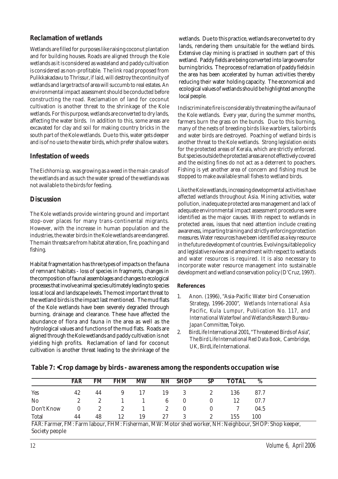#### **Reclamation of wetlands**

Wetlands are filled for purposes like raising coconut plantation and for building houses. Roads are aligned through the Kole wetlands as it is considered as wasteland and paddy cultivation is considered as non-profitable. The link road proposed from Pulikkakadavu to Thrissur, if laid, will destroy the continuity of wetlands and large tracts of area will succumb to real estates. An environmental impact assessment should be conducted before constructing the road. Reclamation of land for coconut cultivation is another threat to the shrinkage of the Kole wetlands. For this purpose, wetlands are converted to dry lands, affecting the water birds. In addition to this, some areas are excavated for clay and soil for making country bricks in the south part of the Kole wetlands. Due to this, water gets deeper and is of no use to the water birds, which prefer shallow waters.

#### **Infestation of weeds**

The *Eichhornia* sp. was growing as a weed in the main canals of the wetlands and as such the water spread of the wetlands was not available to the birds for feeding.

#### **Discussion**

The Kole wetlands provide wintering ground and important stop-over places for many trans-continental migrants. However, with the increase in human population and the industries, the water birds in the Kole wetlands are endangered. The main threats are from habitat alteration, fire, poaching and fishing.

Habitat fragmentation has three types of impacts on the fauna of remnant habitats - loss of species in fragments, changes in the composition of faunal assemblages and changes to ecological processes that involve animal species ultimately leading to species loss at local and landscape levels. The most important threat to the wetland birds is the impact last mentioned. The mud flats of the Kole wetlands have been severely degraded through burning, drainage and clearance. These have affected the abundance of flora and fauna in the area as well as the hydrological values and functions of the mud flats. Roads are aligned through the Kole wetlands and paddy cultivation is not yielding high profits. Reclamation of land for coconut cultivation is another threat leading to the shrinkage of the wetlands. Due to this practice, wetlands are converted to dry lands, rendering them unsuitable for the wetland birds. Extensive clay mining is practised in southern part of this wetland. Paddy fields are being converted into large ovens for burning bricks. The process of reclamation of paddy fields in the area has been accelerated by human activities thereby reducing their water holding capacity. The economical and ecological values of wetlands should be highlighted among the local people.

Indiscriminate fire is considerably threatening the avifauna of the Kole wetlands. Every year, during the summer months, farmers burn the grass on the bunds. Due to this burning, many of the nests of breeding birds like warblers, tailorbirds and water birds are destroyed. Poaching of wetland birds is another threat to the Kole wetlands. Strong legislation exists for the protected areas of Kerala, which are strictly enforced. But species outside the protected areas are not effectively covered and the existing fines do not act as a deterrent to poachers. Fishing is yet another area of concern and fishing must be stopped to make available small fishes to wetland birds.

Like the Kole wetlands, increasing developmental activities have affected wetlands throughout Asia. Mining activities, water pollution, inadequate protected area management and lack of adequate environmental impact assessment procedures were identified as the major causes. With respect to wetlands in protected areas, issues that need attention include creating awareness, imparting training and strictly enforcing protection measures. Water resources have been identified as a key resource in the future development of countries. Evolving suitable policy and legislative review and amendment with respect to wetlands and water resources is required. It is also necessary to incorporate water resource management into sustainable development and wetland conservation policy (D'Cruz, 1997).

#### **References**

- 1. Anon. (1996), "Asia-Pacific Water bird Conservation Strategy, 1996-2000", *Wetlands International Asia Pacific, Kula Lumpur, Publication No. 117, and International Waterfowl and Wetlands Research Bureau-Japan Committee*, Tokyo.
- 2. BirdLife International 2001, "Threatened Birds of Asia", *The Bird Life International Red Data Book,* Cambridge, UK, BirdLife International.

|                | <b>FAR</b>   | FM             | <b>FHM</b>     | <b>MW</b> |    | NH SHOP | <b>SP</b>             | <b>TOTAL</b> | %    |
|----------------|--------------|----------------|----------------|-----------|----|---------|-----------------------|--------------|------|
| <b>Yes</b>     | 42           | 44             | -9             | 17        | 19 | -3      | $\mathbf{2}^{\prime}$ | 136          | 87.7 |
| N <sub>o</sub> | $\mathbf{2}$ |                |                |           | 6  |         |                       | 12           | 07.7 |
| Don't Know     |              | $\mathfrak{L}$ | $\mathfrak{L}$ |           | 2  | 0       |                       |              | 04.5 |
| Total          | 44           | 48             | 12             | 19        | 27 |         |                       | 155          | 100  |

**Table 7: •Crop damage by birds - awareness among the respondents occupation wise**

FAR: Farmer, FM: Farm labour, FHM: Fisherman, MW: Motor shed worker, NH: Neighbour, SHOP: Shop keeper, Society people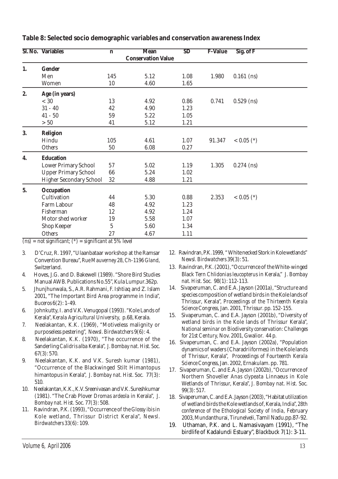|    | <b>SI. No. Variables</b>       | $\mathbf n$    | <b>Mean</b>               | SD   | <b>F-Value</b> | Sig. of F    |
|----|--------------------------------|----------------|---------------------------|------|----------------|--------------|
|    |                                |                | <b>Conservation Value</b> |      |                |              |
| 1. | Gender                         |                |                           |      |                |              |
|    | Men                            | 145            | 5.12                      | 1.08 | 1.980          | $0.161$ (ns) |
|    | Women                          | 10             | 4.60                      | 1.65 |                |              |
| 2. | Age (in years)                 |                |                           |      |                |              |
|    | < 30                           | 13             | 4.92                      | 0.86 | 0.741          | $0.529$ (ns) |
|    | $31 - 40$                      | 42             | 4.90                      | 1.23 |                |              |
|    | $41 - 50$                      | 59             | 5.22                      | 1.05 |                |              |
|    | $>50$                          | 41             | 5.12                      | 1.21 |                |              |
| 3. | Religion                       |                |                           |      |                |              |
|    | Hindu                          | 105            | 4.61                      | 1.07 | 91.347         | $< 0.05$ (*) |
|    | Others                         | 50             | 6.08                      | 0.27 |                |              |
| 4. | <b>Education</b>               |                |                           |      |                |              |
|    | <b>Lower Primary School</b>    | 57             | 5.02                      | 1.19 | 1.305          | $0.274$ (ns) |
|    | <b>Upper Primary School</b>    | 66             | 5.24                      | 1.02 |                |              |
|    | <b>Higher Secondary School</b> | 32             | 4.88                      | 1.21 |                |              |
| 5. | Occupation                     |                |                           |      |                |              |
|    | Cultivation                    | 44             | 5.30                      | 0.88 | 2.353          | $< 0.05$ (*) |
|    | Farm Labour                    | 48             | 4.92                      | 1.23 |                |              |
|    | Fisherman                      | 12             | 4.92                      | 1.24 |                |              |
|    | Motor shed worker              | 19             | 5.58                      | 1.07 |                |              |
|    | Shop Keeper                    | $\overline{5}$ | 5.60                      | 1.34 |                |              |
|    | Others                         | 27             | 4.67                      | 1.11 |                |              |

**Table 8: Selected socio demographic variables and conservation awareness Index**

*(ns) = not significant; (\*) = significant at 5% level*

- 3. D'Cruz, R. 1997, "Ulaanbataar workshop at the Ramsar Convention Bureau", *Rue Mauverney 28, Ch-1196 Gland*, Switzerland.
- 4. Hoves, J.G. and D. Bakewell (1989). "Shore Bird Studies Manual AWB. Publications No.55", Kula Lumpur.362p.
- 5. Jhunjhunwala, S., A.R. Rahmani, F. Ishtiaq and Z. Islam 2001, "The Important Bird Area programme in India", *Buceros* 6(2): 1-49.
- 6. Johnkutty, I. and V.K. Venugopal (1993). "Kole Lands of Kerala", *Kerala Agricultural University,* p.68, Kerala.
- 7. Neelakantan, K.K. (1969), "Motiveless malignity or purposeless pestering", *Newsl. Birdwatchers* 9(6): 4.
- 8. Neelakantan, K.K. (1970), "The occurrence of the Sanderling *Calidris alba* Kerala", *J. Bombay nat. Hist. Soc.* 67(3): 570.
- 9. Neelakantan, K.K. and V.K. Suresh kumar (1981), "Occurrence of the Blackwinged Stilt Himantopus himantopus in Kerala", *J. Bombay nat. Hist. Soc.* 77(3): 510.
- 10. Neelakantan, K.K., K.V. Sreenivasan and V.K. Sureshkumar (1981). "The Crab Plover *Dromas ardeola* in Kerala", *J. Bombay nat. Hist. Soc.* 77(3): 508.
- 11. Ravindran, P.K. (1993), "Occurrence of the *Glossy ibis* in Kole wetland, Thrissur District Kerala", *Newsl. Birdwatchers* 33(6): 109.
- 12. Ravindran, P.K. 1999, " White necked Stork in Kole wetlands" *Newsl. Birdwatchers* 39(3): 51.
- 13. Ravindran, P.K. (2001), "Occurrence of the White-winged Black Tern *Chlidonias leucopterus* in Kerala," *J. Bombay nat. Hist. Soc.* 98(1): 112-113.
- 14. Sivaperuman, C. and E.A. Jayson (2001a), "Structure and species composition of wetland birds in the Kole lands of Thrissur, Kerala", *Proceedings of the Thirteenth Kerala Science Congress,* Jan. 2001, Thrissur. pp. 152-155.
- 15. Sivaperuman, C. and E.A. Jayson (2001b), "Diversity of wetland birds in the Kole lands of Thrissur Kerala", *National seminar on Biodiversity conservation: Challenges for 21st Century,* Nov. 2001, Gwalior. 44 p.
- 16. Sivaperuman, C. and E.A. Jayson (2002a), "Population dynamics of waders (Charadriiformes) in the Kole lands of Thrissur, Kerala", *Proceedings of Fourteenth Kerala Science Congress*, Jan. 2002, Ernakulam. pp. 781.
- 17. Sivaperuman, C. and E.A. Jayson (2002b), "Occurrence of Northern Shoveller *Anas clypeata* Linnaeus in Kole Wetlands of Thrissur, Kerala", *J. Bombay nat. Hist. Soc.* 99(3): 517.
- 18. Sivaperuman, C. and E.A. Jayson (2003), "Habitat utilization of wetland birds the Kole wetlands of, Kerala, India", *28th conference of the Ethological Society of India*, February 2003, Mundanthurai, Tirunelveli, Tamil Nadu.pp.87-92.
- 19. Uthaman, P.K. and L. Namasivayam (1991), "The birdlife of Kadalundi Estuary", *Blackbuck* 7(1): 3-11.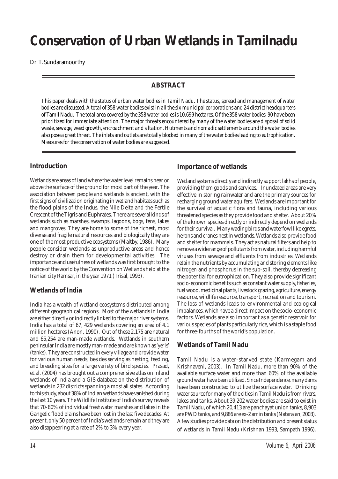# **Conservation of Urban Wetlands in Tamilnadu**

Dr. T. Sundaramoorthy

#### **ABSTRACT**

*This paper deals with the status of urban water bodies in Tamil Nadu. The status, spread and management of water bodies are discussed. A total of 358 water bodies exist in all the six municipal corporations and 24 district headquarters of Tamil Nadu. The total area covered by the 358 water bodies is 10,699 hectares. Of the 358 water bodies, 90 have been prioritized for immediate attention. The major threats encountered by many of the water bodies are disposal of solid waste, sewage, weed growth, encroachment and siltation. Hutments and nomadic settlements around the water bodies also pose a great threat. The inlets and outlets are totally blocked in many of the water bodies leading to eutrophication. Measures for the conservation of water bodies are suggested.*

#### **Introduction**

Wetlands are areas of land where the water level remains near or above the surface of the ground for most part of the year. The association between people and wetlands is ancient, with the first signs of civilization originating in wetland habitats such as the flood plains of the Indus, the Nile Delta and the Fertile Crescent of the Tigris and Euphrates. There are several kinds of wetlands such as marshes, swamps, lagoons, bogs, fens, lakes and mangroves. They are home to some of the richest, most diverse and fragile natural resources and biologically they are one of the most productive ecosystems (Maltby, 1986). Many people consider wetlands as unproductive areas and hence destroy or drain them for developmental activities. The importance and usefulness of wetlands was first brought to the notice of the world by the Convention on Wetlands held at the Iranian city Ramsar, in the year 1971 (Trisal, 1993).

#### **Wetlands of India**

India has a wealth of wetland ecosystems distributed among different geographical regions. Most of the wetlands in India are either directly or indirectly linked to the major river systems. India has a total of 67, 429 wetlands covering an area of 4.1 million hectares (Anon, 1990). Out of these 2,175 are natural and 65,254 are man-made wetlands. Wetlands in southern peninsular India are mostly man-made and are known as '*yeris'* (tanks). They are constructed in every village and provide water for various human needs, besides serving as nesting, feeding, and breeding sites for a large variety of bird species. Prasad, et.al. (2004) has brought out a comprehensive atlas on inland wetlands of India and a GIS database on the distribution of wetlands in 232 districts spanning almost all states. According to this study, about 38% of Indian wetlands have vanished during the last 10 years. The Wildlife Institute of India's survey reveals that 70-80% of individual freshwater marshes and lakes in the Gangetic flood plains have been lost in the last five decades. At present, only 50 percent of India's wetlands remain and they are also disappearing at a rate of 2% to 3% every year.

#### **Importance of wetlands**

Wetland systems directly and indirectly support lakhs of people, providing them goods and services. Inundated areas are very effective in storing rainwater and are the primary sources for recharging ground water aquifers. Wetlands are important for the survival of aquatic flora and fauna, including various threatened species as they provide food and shelter. About 20% of the known species directly or indirectly depend on wetlands for their survival. Many wading birds and waterfowl like egrets, herons and cranes nest in wetlands. Wetlands also provide food and shelter for mammals. They act as natural filters and help to remove a wide range of pollutants from water, including harmful viruses from sewage and effluents from industries. Wetlands retain the nutrients by accumulating and storing elements like nitrogen and phosphorus in the sub-soil, thereby decreasing the potential for eutrophication. They also provide significant socio-economic benefits such as constant water supply, fisheries, fuel wood, medicinal plants, livestock grazing, agriculture, energy resource, wildlife resource, transport, recreation and tourism. The loss of wetlands leads to environmental and ecological imbalances, which have a direct impact on the socio-economic factors. Wetlands are also important as a genetic reservoir for various species of plants particularly rice, which is a staple food for three-fourths of the world's population.

#### **Wetlands of Tamil Nadu**

Tamil Nadu is a water-starved state (Karmegam and Krishnaveni, 2003). In Tamil Nadu, more than 90% of the available surface water and more than 60% of the available ground water have been utilized. Since Independence, many dams have been constructed to utilize the surface water. Drinking water source for many of the cities in Tamil Nadu is from rivers, lakes and tanks. About 39,202 water bodies are said to exist in Tamil Nadu, of which 20,413 are panchayat union tanks, 8,903 are PWD tanks, and 9,886 are ex-Zamin tanks (Natarajan, 2003). A few studies provide data on the distribution and present status of wetlands in Tamil Nadu (Krishnan 1993, Sampath 1996).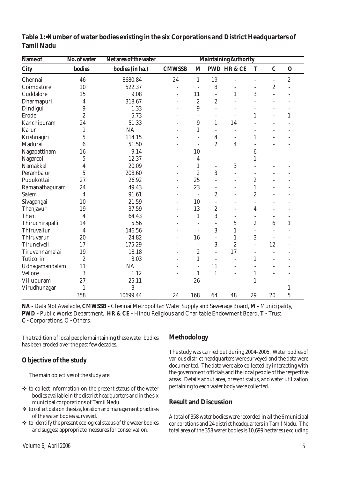| Name of          | No. of water     | Net area of the water |                          |                          |                          | <b>Maintaining Authority</b> |                          |                          |                |
|------------------|------------------|-----------------------|--------------------------|--------------------------|--------------------------|------------------------------|--------------------------|--------------------------|----------------|
| <b>City</b>      | <b>bodies</b>    | bodies (in ha.)       | <b>CMWSSB</b>            | M                        |                          | <b>PWD HR &amp; CE</b>       | T                        | $\mathbf C$              | $\mathbf 0$    |
| Chennai          | 46               | 8680.84               | 24                       | $\mathbf{1}$             | 19                       |                              | $\overline{\phantom{a}}$ | L,                       | $\overline{c}$ |
| Coimbatore       | 10               | 522.37                | L.                       | Î,                       | 8                        |                              | L,                       | $\boldsymbol{2}$         |                |
| Cuddalore        | 15               | 9.08                  | $\overline{a}$           | 11                       | $\qquad \qquad -$        | $\mathbf{1}$                 | 3                        |                          |                |
| Dharmapuri       | 4                | 318.67                | $\overline{\phantom{a}}$ | $\overline{c}$           | $\overline{c}$           |                              | ÷                        |                          |                |
| Dindigul         | 9                | 1.33                  |                          | $9\phantom{.0}$          |                          |                              |                          |                          |                |
| Erode            | $\overline{c}$   | 5.73                  |                          | $\overline{\phantom{a}}$ | L,                       |                              | $\mathbf{1}$             |                          | $\mathbf{1}$   |
| Kanchipuram      | 24               | 51.33                 |                          | 9                        | $\mathbf{1}$             | 14                           |                          |                          |                |
| <b>Karur</b>     | $\mathbf{1}$     | <b>NA</b>             |                          | 1                        | $\overline{\phantom{m}}$ |                              |                          |                          |                |
| Krishnagiri      | 5                | 114.15                |                          | ÷,                       | 4                        | $\overline{\phantom{a}}$     | 1                        |                          |                |
| Madurai          | 6                | 51.50                 |                          | $\overline{\phantom{a}}$ | $\overline{2}$           | 4                            |                          |                          |                |
| Nagapattinam     | 16               | 9.14                  | $\overline{\phantom{a}}$ | 10                       | $\overline{a}$           | $\bar{a}$                    | 6                        |                          |                |
| Nagarcoil        | $\overline{5}$   | 12.37                 | $\overline{\phantom{a}}$ | 4                        | L.                       | ÷.                           | $\mathbf{1}$             |                          |                |
| Namakkal         | 4                | 20.09                 | $\rightarrow$            | 1                        | $\overline{a}$           | $\boldsymbol{3}$             |                          |                          |                |
| Perambalur       | $\overline{5}$   | 208.60                | $\overline{\phantom{a}}$ | $\overline{c}$           | 3                        |                              | $\overline{\phantom{a}}$ |                          |                |
| Pudukottai       | 27               | 26.92                 | $\overline{\phantom{a}}$ | 25                       | L,                       | ÷                            | $\overline{c}$           |                          |                |
| Ramanathapuram   | 24               | 49.43                 | $\overline{\phantom{a}}$ | 23                       |                          | ۰                            | $\mathbf{1}$             |                          |                |
| Salem            | 4                | 91.61                 | $\overline{\phantom{a}}$ | $\sim$                   | $\overline{c}$           |                              | $\overline{2}$           |                          |                |
| Sivagangai       | 10               | 21.59                 | ÷,                       | 10                       |                          |                              | ÷,                       |                          |                |
| Thanjavur        | 19               | 37.59                 | $\rightarrow$            | 13                       | $\overline{c}$           | $\equiv$                     | 4                        |                          |                |
| Theni            | 4                | 64.43                 | $\rightarrow$            | $\mathbf{1}$             | 3                        | $\overline{\phantom{a}}$     | $\overline{\phantom{a}}$ | ۰                        |                |
| Thiruchirapalli  | 14               | 5.56                  |                          | $\overline{a}$           | L.                       | $\mathbf 5$                  | $\overline{c}$           | 6                        | $\mathbf{1}$   |
| Thiruvallur      | 4                | 146.56                |                          | $\overline{\phantom{a}}$ | 3                        | $\mathbf{1}$                 |                          | $\overline{\phantom{a}}$ |                |
| Thiruvarur       | 20               | 24.82                 | ÷,                       | 16                       | ÷,                       | $\mathbf{1}$                 | 3                        | L,                       |                |
| Tirunelveli      | 17               | 175.29                | $\overline{\phantom{a}}$ | ÷,                       | 3                        | $\overline{2}$               | L.                       | 12                       |                |
| Tiruvannamalai   | 19               | 18.18                 | $\equiv$                 | $\overline{c}$           | ÷,                       | 17                           | $\overline{\phantom{a}}$ |                          |                |
| <b>Tuticorin</b> | $\boldsymbol{2}$ | 3.03                  |                          | $\mathbf 1$              | $\bar{a}$                |                              | $\mathbf{1}$             |                          |                |
| Udhagamandalam   | 11               | <b>NA</b>             |                          | ÷,                       | 11                       | ÷                            |                          |                          |                |
| Vellore          | 3                | 1.12                  | $\rightarrow$            | 1                        | $\mathbf{1}$             |                              | 1                        |                          |                |
| Villupuram       | 27               | 25.11                 |                          | 26                       |                          |                              | $\mathbf{1}$             |                          |                |
| Virudhunagar     | $\mathbf{1}$     | 3                     |                          |                          |                          |                              |                          |                          | $\mathbf{1}$   |
|                  | 358              | 10699.44              | 24                       | 168                      | 64                       | 48                           | 29                       | 20                       | 5              |

**Table 1:•Number of water bodies existing in the six Corporations and District Headquarters of Tamil Nadu**

**NA -** Data Not Available, **CMWSSB -** Chennai Metropolitan Water Supply and Sewerage Board, **M -** Municipality, **PWD -** Public Works Department, **HR & CE -** Hindu Religious and Charitable Endowment Board, **T -** Trust, **C -** Corporations, O **-** Others.

The tradition of local people maintaining these water bodies has been eroded over the past few decades.

### **Objective of the study**

The main objectives of the study are:

- ! to collect information on the present status of the water bodies available in the district headquarters and in the six municipal corporations of Tamil Nadu.
- $\triangleq$  to collect data on the size, location and management practices of the water bodies surveyed.
- $*$  to identify the present ecological status of the water bodies and suggest appropriate measures for conservation.

#### **Methodology**

The study was carried out during 2004-2005. Water bodies of various district headquarters were surveyed and the data were documented. The data were also collected by interacting with the government officials and the local people of the respective areas. Details about area, present status, and water utilization pertaining to each water body were collected.

### **Result and Discussion**

A total of 358 water bodies were recorded in all the 6 municipal corporations and 24 district headquarters in Tamil Nadu. The total area of the 358 water bodies is 10,699 hectares (excluding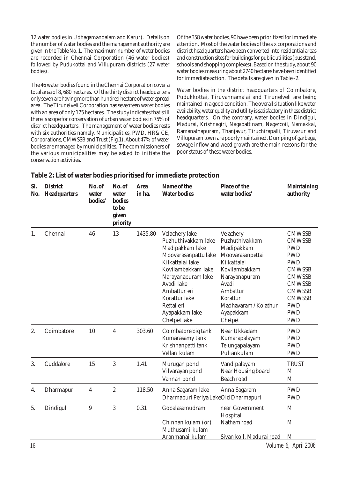12 water bodies in Udhagamandalam and Karur). Details on the number of water bodies and the management authority are given in the Table No. 1. The maximum number of water bodies are recorded in Chennai Corporation (46 water bodies) followed by Pudukottai and Villupuram districts (27 water bodies).

The 46 water bodies found in the Chennai Corporation cover a total area of 8, 680 hectares. Of the thirty district headquarters only seven are having more than hundred hectare of water spread area. The Tirunelveli Corporation has seventeen water bodies with an area of only 175 hectares. The study indicates that still there is scope for conservation of urban water bodies in 75% of district headquarters. The management of water bodies rests with six authorities namely, Municipalities, PWD, HR& CE, Corporations, CMWSSB and Trust (Fig.1). About 47% of water bodies are managed by municipalities. The commissioners of the various municipalities may be asked to initiate the conservation activities.

Of the 358 water bodies, 90 have been prioritized for immediate attention. Most of the water bodies of the six corporations and district headquarters have been converted into residential areas and construction sites for buildings for public utilities (bus stand, schools and shopping complexes). Based on the study, about 90 water bodies measuring about 2740 hectares have been identified for immediate action. The details are given in Table -2.

Water bodies in the district headquarters of Coimbatore, Pudukkottai, Tiruvannamalai and Tirunelveli are being maintained in a good condition. The overall situation like water availability, water quality and utility is satisfactory in these district headquarters. On the contrary, water bodies in Dindigul, Madurai, Krishnagiri, Nagapattinam, Nagercoil, Namakkal, Ramanathapuram, Thanjavur, Tiruchirapalli, Tiruvarur and Villupuram town are poorly maintained. Dumping of garbage, sewage inflow and weed growth are the main reasons for the poor status of these water bodies.

| SI.<br>No. | <b>District</b><br><b>Headquarters</b> | No. of<br>water<br>bodies' | No. of<br>water<br><b>bodies</b><br>to be<br>given<br>priority | <b>Area</b><br>in ha. | Name of the<br><b>Water bodies</b>                                                                                                                                                                                                              | Place of the<br>water bodies'                                                                                                                                                                    | <b>Maintaining</b><br>authority                                                                                                                                                                         |
|------------|----------------------------------------|----------------------------|----------------------------------------------------------------|-----------------------|-------------------------------------------------------------------------------------------------------------------------------------------------------------------------------------------------------------------------------------------------|--------------------------------------------------------------------------------------------------------------------------------------------------------------------------------------------------|---------------------------------------------------------------------------------------------------------------------------------------------------------------------------------------------------------|
| 1.         | Chennai                                | 46                         | 13                                                             | 1435.80               | Velachery lake<br>Puzhuthivakkam lake<br>Madipakkam lake<br>Moovarasanpattu lake<br>Kilkattalai lake<br>Kovilambakkam lake<br>Narayanapuram lake<br>Avadi lake<br>Ambattur eri<br>Korattur lake<br>Rettai eri<br>Ayapakkam lake<br>Chetpet lake | Velachery<br>Puzhuthivakkam<br>Madipakkam<br>Moovarasanpettai<br>Kilkattalai<br>Kovilambakkam<br>Narayanapuram<br>Avadi<br>Ambattur<br>Korattur<br>Madhavaram / Kolathur<br>Ayapakkam<br>Chetpet | <b>CMWSSB</b><br><b>CMWSSB</b><br><b>PWD</b><br><b>PWD</b><br><b>PWD</b><br><b>CMWSSB</b><br><b>CMWSSB</b><br><b>CMWSSB</b><br><b>CMWSSB</b><br><b>CMWSSB</b><br><b>PWD</b><br><b>PWD</b><br><b>PWD</b> |
| 2.         | Coimbatore                             | 10                         | 4                                                              | 303.60                | Coimbatore big tank<br>Kumarasamy tank<br>Krishnanpatti tank<br>Vellan kulam                                                                                                                                                                    | Near Ukkadam<br>Kumarapalayam<br>Telungapalayam<br>Puliankulam                                                                                                                                   | <b>PWD</b><br><b>PWD</b><br><b>PWD</b><br><b>PWD</b>                                                                                                                                                    |
| 3.         | Cuddalore                              | 15                         | 3                                                              | 1.41                  | Murugan pond<br>Vilvarayan pond<br>Vannan pond                                                                                                                                                                                                  | Vandipalayam<br>Near Housing board<br><b>Beach road</b>                                                                                                                                          | <b>TRUST</b><br>M<br>M                                                                                                                                                                                  |
| 4.         | Dharmapuri                             | $\boldsymbol{4}$           | $\boldsymbol{2}$                                               | 118.50                | Anna Sagaram lake<br>Dharmapuri Periya LakeOld Dharmapuri                                                                                                                                                                                       | Anna Sagaram                                                                                                                                                                                     | <b>PWD</b><br><b>PWD</b>                                                                                                                                                                                |
| 5.         | Dindigul                               | $\boldsymbol{9}$           | 3                                                              | 0.31                  | Gobalasamudram<br>Chinnan kulam (or)<br>Muthusami kulam<br>Aranmanai kulam                                                                                                                                                                      | near Government<br>Hospital<br>Natham road<br>Sivan koil. Madurai road                                                                                                                           | M<br>M<br>M                                                                                                                                                                                             |

#### **Table 2: List of water bodies prioritised for immediate protection**

16 Volume 6, April 2006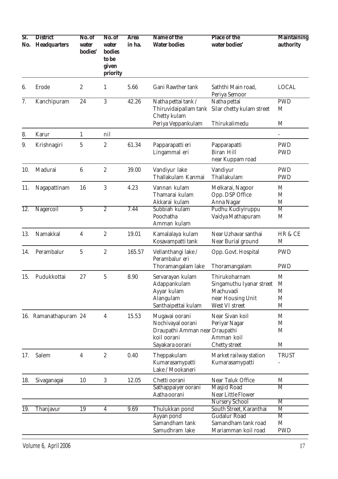| SI.<br>No.        | <b>District</b><br>Headquarters | No. of<br>water<br>bodies' | No. of<br>water<br>bodies<br>to be<br>given<br>priority | <b>Area</b><br>in ha. | Name of the<br><b>Water bodies</b>                                                                      | Place of the<br>water bodies'                                                                 | <b>Maintaining</b><br>authority            |
|-------------------|---------------------------------|----------------------------|---------------------------------------------------------|-----------------------|---------------------------------------------------------------------------------------------------------|-----------------------------------------------------------------------------------------------|--------------------------------------------|
| 6.                | Erode                           | $\boldsymbol{2}$           | $\mathbf{1}$                                            | 5.66                  | Gani Rawther tank                                                                                       | Saththi Main road,<br>Periya Semoor                                                           | <b>LOCAL</b>                               |
| 7.                | Kanchipuram                     | 24                         | $\overline{3}$                                          | 42.26                 | Natha pettai tank /<br>Thiruvidaipallam tank<br>Chetty kulam                                            | Natha pettai<br>Silar chetty kulam street                                                     | <b>PWD</b><br>M                            |
|                   |                                 |                            |                                                         |                       | Periya Veppankulam                                                                                      | Thirukalimedu                                                                                 | M                                          |
| 8.                | Karur                           | $\mathbf{1}$               | nil                                                     |                       |                                                                                                         |                                                                                               |                                            |
| 9.                | Krishnagiri                     | $\overline{5}$             | $\boldsymbol{2}$                                        | 61.34                 | Papparapatti eri<br>Lingammal eri                                                                       | Papparapatti<br><b>Biran Hill</b><br>near Kuppam road                                         | <b>PWD</b><br><b>PWD</b>                   |
| 10.               | Madurai                         | $\boldsymbol{6}$           | $\sqrt{2}$                                              | 39.00                 | Vandiyur lake<br>Thallakulam Kanmai                                                                     | Vandiyur<br>Thallakulam                                                                       | <b>PWD</b><br><b>PWD</b>                   |
| 11.               | Nagapattinam                    | 16                         | $\mathbf{3}$                                            | 4.23                  | Vannan kulam<br>Thamarai kulam<br>Akkarai kulam                                                         | Melkarai, Nagoor<br>Opp. DSP Office<br>Anna Nagar                                             | M<br>M<br>M                                |
| $\overline{12}$ . | Nagercoil                       | $\overline{5}$             | $\overline{2}$                                          | 7.44                  | Subbiah kulam<br>Poochatha<br>Amman kulam                                                               | Pudhu Kudiyiruppu<br>Vaidya Mathapuram                                                        | $\overline{\mathrm{M}}$<br>M               |
| 13.               | Namakkal                        | $\boldsymbol{4}$           | $\boldsymbol{2}$                                        | 19.01                 | Kamalalaya kulam<br>Kosavampatti tank                                                                   | Near Uzhavar santhai<br>Near Burial ground                                                    | HR & CE<br>M                               |
| 14.               | Perambalur                      | $\overline{5}$             | $\sqrt{2}$                                              | 165.57                | Vellanthangi lake /<br>Perambalur eri<br>Thoramangalam lake                                             | Opp. Govt. Hospital<br>Thoramangalam                                                          | <b>PWD</b><br><b>PWD</b>                   |
| 15.               | Pudukkottai                     | 27                         | $\mathbf 5$                                             | 8.90                  | Servarayan kulam<br>Adappankulam<br>Ayyar kulam<br>Alangulam<br>Santhaipettai kulam                     | Thirukoharnam<br>Singamuthu Iyanar street<br>Machuvadi<br>near Housing Unit<br>West VI street | M<br>M<br>M<br>M<br>M                      |
|                   | 16. Ramanathapuram 24           |                            | $\overline{4}$                                          | 15.53                 | Mugavai oorani<br>Nochivayal oorani<br>Draupathi Amman near Draupathi<br>koil oorani<br>Sayakara oorani | Near Sivan koil<br>Periyar Nagar<br>Amman koil<br><b>Chetty street</b>                        | M<br>M<br>M<br>M                           |
| 17.               | Salem                           | 4                          | $\boldsymbol{2}$                                        | 0.40                  | Theppakulam<br>Kumarasamypatti<br>Lake / Mookaneri                                                      | Market railway station<br>Kumarasamypatti                                                     | <b>TRUST</b>                               |
| 18.               | Sivaganagai                     | 10                         | 3                                                       | 12.05                 | Chetti oorani                                                                                           | Near Taluk Office                                                                             | M                                          |
|                   |                                 |                            |                                                         |                       | Sathappaiyer oorani<br>Aatha oorani                                                                     | Masjid Road<br><b>Near Little Flower</b>                                                      | M                                          |
| 19.               | Thanjavur                       | 19                         | 4                                                       | 9.69                  | Thulukkan pond                                                                                          | <b>Nursery School</b><br>South Street, Karanthai                                              | M<br>$\overline{\mathrm{M}}$               |
|                   |                                 |                            |                                                         |                       | Ayyan pond<br>Samandham tank<br>Samudhram lake                                                          | <b>Gudalur Road</b><br>Samandham tank road<br>Mariamman koil road                             | $\overline{\mathbf{M}}$<br>M<br><b>PWD</b> |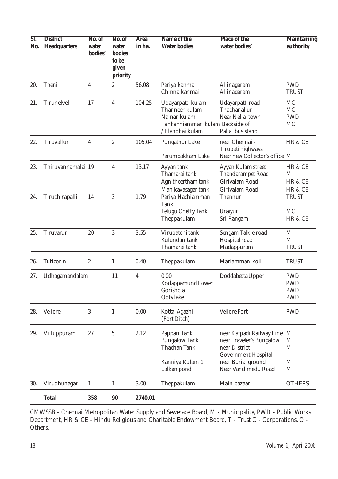| ST.<br>No.        | <b>District</b><br><b>Headquarters</b> | No. of<br>water<br>bodies' | No. of<br>water<br>bodies<br>to be<br>given<br>priority | <b>Area</b><br>in ha. | Name of the<br><b>Water bodies</b>                                                                          | <b>Place of the</b><br>water bodies'                                                                 | <b>Maintaining</b><br>authority                      |
|-------------------|----------------------------------------|----------------------------|---------------------------------------------------------|-----------------------|-------------------------------------------------------------------------------------------------------------|------------------------------------------------------------------------------------------------------|------------------------------------------------------|
| 20.               | Theni                                  | $\boldsymbol{4}$           | $\boldsymbol{2}$                                        | 56.08                 | Periya kanmai<br>Chinna kanmai                                                                              | Allinagaram<br>Allinagaram                                                                           | <b>PWD</b><br><b>TRUST</b>                           |
| 21.               | Tirunelveli                            | 17                         | $\overline{4}$                                          | 104.25                | Udayarpatti kulam<br>Thanneer kulam<br>Nainar kulam<br>Ilankanniamman kulam Backside of<br>/ Elandhai kulam | Udayarpatti road<br>Thachanallur<br>Near Nellai town<br>Pallai bus stand                             | MC<br><b>MC</b><br><b>PWD</b><br>MC                  |
| 22.               | Tiruvallur                             | 4                          | $\sqrt{2}$                                              | 105.04                | Pungathur Lake<br>Perumbakkam Lake                                                                          | near Chennai -<br>Tirupati highways<br>Near new Collector's office M                                 | HR & CE                                              |
| 23.               | Thiruvannamalai 19                     |                            | $\overline{\mathbf{4}}$                                 | 13.17                 | Ayyan tank<br>Thamarai tank<br>Agnitheertham tank<br>Manikavasagar tank                                     | Ayyan Kulam street<br><b>Thandarampet Road</b><br>Girivalam Road<br>Girivalam Road                   | HR & CE<br>M<br>HR & CE<br>HR & CE                   |
| $\overline{24}$ . | Tiruchirapalli                         | $\overline{14}$            | $\overline{3}$                                          | 1.79                  | Periya Nachiamman<br><b>Tank</b>                                                                            | Thennur                                                                                              | <b>TRUST</b>                                         |
|                   |                                        |                            |                                                         |                       | <b>Telugu Chetty Tank</b><br>Theppakulam                                                                    | Uraiyur<br>Sri Rangam                                                                                | MC<br>HR & CE                                        |
| 25.               | Tiruvarur                              | 20                         | 3                                                       | 3.55                  | Virupatchi tank<br>Kulundan tank<br>Thamarai tank                                                           | Sengam Talkie road<br>Hospital road<br>Madappuram                                                    | M<br>M<br><b>TRUST</b>                               |
| 26.               | <b>Tuticorin</b>                       | $\boldsymbol{2}$           | $\mathbf{1}$                                            | 0.40                  | Theppakulam                                                                                                 | Mariamman koil                                                                                       | <b>TRUST</b>                                         |
| 27.               | Udhagamandalam                         |                            | 11                                                      | 4                     | 0.00<br><b>Kodappamund Lower</b><br>Gorishola<br>Ooty lake                                                  | Doddabetta Upper                                                                                     | <b>PWD</b><br><b>PWD</b><br><b>PWD</b><br><b>PWD</b> |
| 28.               | Vellore                                | 3                          | $\mathbf{1}$                                            | 0.00                  | Kottai Agazhi<br>(Fort Ditch)                                                                               | <b>Vellore Fort</b>                                                                                  | <b>PWD</b>                                           |
| 29.               | Villuppuram                            | 27                         | $\sqrt{5}$                                              | 2.12                  | Pappan Tank<br><b>Bungalow Tank</b><br><b>Thachan Tank</b>                                                  | near Katpadi Railway Line<br>near Traveler's Bungalow<br>near District<br><b>Government Hospital</b> | M<br>M<br>M                                          |
|                   |                                        |                            |                                                         |                       | Kanniya Kulam 1<br>Lalkan pond                                                                              | near Burial ground<br>Near Vandimedu Road                                                            | M<br>M                                               |
| 30.               | Virudhunagar                           | 1                          | $\mathbf{1}$                                            | 3.00                  | Theppakulam                                                                                                 | Main bazaar                                                                                          | <b>OTHERS</b>                                        |
|                   | <b>Total</b>                           | 358                        | 90                                                      | 2740.01               |                                                                                                             |                                                                                                      |                                                      |

CMWSSB - Chennai Metropolitan Water Supply and Sewerage Board, M - Municipality, PWD - Public Works Department, HR & CE - Hindu Religious and Charitable Endowment Board, T - Trust C - Corporations, O - Others.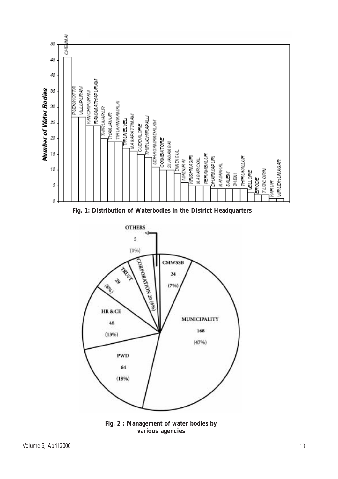



**PWD** 

64

 $(18%)$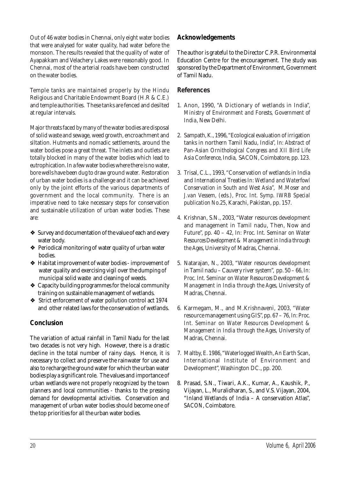Out of 46 water bodies in Chennai, only eight water bodies that were analysed for water quality, had water before the monsoon. The results revealed that the quality of water of Ayapakkam and Velachery Lakes were reasonably good. In Chennai, most of the arterial roads have been constructed on the water bodies.

Temple tanks are maintained properly by the Hindu Religious and Charitable Endowment Board (H.R & C.E.) and temple authorities. These tanks are fenced and desilted at regular intervals.

Major threats faced by many of the water bodies are disposal of solid waste and sewage, weed growth, encroachment and siltation. Hutments and nomadic settlements, around the water bodies pose a great threat. The inlets and outlets are totally blocked in many of the water bodies which lead to eutrophication. In a few water bodies where there is no water, bore wells have been dug to draw ground water. Restoration of urban water bodies is a challenge and it can be achieved only by the joint efforts of the various departments of government and the local community. There is an imperative need to take necessary steps for conservation and sustainable utilization of urban water bodies. These are:

- ❖ Survey and documentation of the value of each and every water body.
- ❖ Periodical monitoring of water quality of urban water bodies.
- ❖ Habitat improvement of water bodies improvement of water quality and exercising vigil over the dumping of municipal solid waste and cleaning of weeds.
- ❖ Capacity building programmes for the local community training on sustainable management of wetlands.
- ❖ Strict enforcement of water pollution control act 1974 and other related laws for the conservation of wetlands.

### **Conclusion**

The variation of actual rainfall in Tamil Nadu for the last two decades is not very high. However, there is a drastic decline in the total number of rainy days. Hence, it is necessary to collect and preserve the rainwater for use and also to recharge the ground water for which the urban water bodies play a significant role. The values and importance of urban wetlands were not properly recognized by the town planners and local communities - thanks to the pressing demand for developmental activities. Conservation and management of urban water bodies should become one of the top priorities for all the urban water bodies.

#### **Acknowledgements**

The author is grateful to the Director C.P.R. Environmental Education Centre for the encouragement. The study was sponsored by the Department of Environment, Government of Tamil Nadu.

#### **References**

- 1. Anon, 1990, "A Dictionary of wetlands in India", *Ministry of Environment and Forests, Government of India*, New Delhi.
- 2. Sampath, K., 1996, "Ecological evaluation of irrigation tanks in northern Tamil Nadu, India", *In: Abstract of Pan-Asian Ornithological Congress and XII Bird Life Asia Conference*, India, SACON, Coimbatore, pp. 123.
- 3. Trisal, C.L., 1993, "Conservation of wetlands in India and International Treaties *In: Wetland and Waterfowl Conservation in South and West Asia", M.Moser and J.van Vessem, (eds.), Proc. Int. Symp. IWRB Special publication No.25*, Karachi, Pakistan, pp. 157.
- 4. Krishnan, S.N., 2003, "Water resources development and management in Tamil nadu, Then, Now and Future", pp. 40 – 42, *In: Proc. Int. Seminar on Water Resources Development & Management in India through the Ages,* University of Madras, Chennai.
- 5. Natarajan, N., 2003, "Water resources development in Tamil nadu – Cauvery river system", pp. 50 – 66, *In: Proc. Int. Seminar on Water Resources Development & Management in India through the Ages*, University of Madras, Chennai.
- 6. Karmegam, M., and M.Krishnaveni, 2003, "Water resource management using GIS", pp. 67 – 76, *In: Proc. Int. Seminar on Water Resources Development & Management in India through the Ages,* University of Madras, Chennai.
- 7. Maltby, E. 1986, "Waterlogged Wealth, An Earth Scan, International Institute of Environment and Development", Washington DC., pp. 200.
- 8. Prasad, S.N., Tiwari, A.K., Kumar, A., Kaushik, P., Vijayan, L., Muralidharan, S., and V.S. Vijayan, 2004, "Inland Wetlands of India – A conservation Atlas", *SACON,* Coimbatore.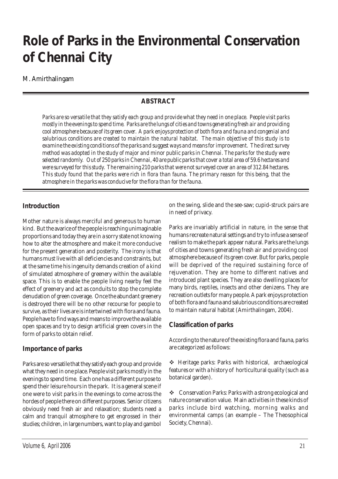# **Role of Parks in the Environmental Conservation of Chennai City**

#### M. Amirthalingam

### **ABSTRACT**

*Parks are so versatile that they satisfy each group and provide what they need in one place. People visit parks mostly in the evenings to spend time. Parks are the lungs of cities and towns generating fresh air and providing cool atmosphere because of its green cover. A park enjoys protection of both flora and fauna and congenial and salubrious conditions are created to maintain the natural habitat. The main objective of this study is to examine the existing conditions of the parks and suggest ways and means for improvement. The direct survey method was adopted in the study of major and minor public parks in Chennai. The parks for the study were selected randomly. Out of 250 parks in Chennai, 40 are public parks that cover a total area of 59.6 hectares and were surveyed for this study. The remaining 210 parks that were not surveyed cover an area of 312.84 hectares. This study found that the parks were rich in flora than fauna. The primary reason for this being, that the atmosphere in the parks was conducive for the flora than for the fauna.*

#### **Introduction**

Mother nature is always merciful and generous to human kind. But the avarice of the people is reaching unimaginable proportions and today they are in a sorry state not knowing how to alter the atmosphere and make it more conducive for the present generation and posterity. The irony is that humans must live with all deficiencies and constraints, but at the same time his ingenuity demands creation of a kind of simulated atmosphere of greenery within the available space. This is to enable the people living nearby feel the effect of greenery and act as conduits to stop the complete denudation of green coverage. Once the abundant greenery is destroyed there will be no other recourse for people to survive, as their lives are is intertwined with flora and fauna. People have to find ways and means to improve the available open spaces and try to design artificial green covers in the form of parks to obtain relief.

### **Importance of parks**

Parks are so versatile that they satisfy each group and provide what they need in one place. People visit parks mostly in the evenings to spend time. Each one has a different purpose to spend their leisure hours in the park. It is a general scene if one were to visit parks in the evenings to come across the hordes of people there on different purposes. Senior citizens obviously need fresh air and relaxation; students need a calm and tranquil atmosphere to get engrossed in their studies; children, in large numbers, want to play and gambol

on the swing, slide and the see-saw; cupid-struck pairs are in need of privacy.

Parks are invariably artificial in nature, in the sense that humans recreate natural settings and try to infuse a sense of realism to make the park appear natural. Parks are the lungs of cities and towns generating fresh air and providing cool atmosphere because of its green cover. But for parks, people will be deprived of the required sustaining force of rejuvenation. They are home to different natives and introduced plant species. They are also dwelling places for many birds, reptiles, insects and other denizens. They are recreation outlets for many people. A park enjoys protection of both flora and fauna and salubrious conditions are created to maintain natural habitat (Amirthalingam, 2004).

### **Classification of parks**

According to the nature of the existing flora and fauna, parks are categorized as follows:

! Heritage parks: Parks with historical, archaeological features or with a history of horticultural quality (such as a botanical garden).

\* Conservation Parks: Parks with a strong ecological and nature conservation value. Main activities in these kinds of parks include bird watching, morning walks and environmental camps (an example – The Theosophical Society, Chennai).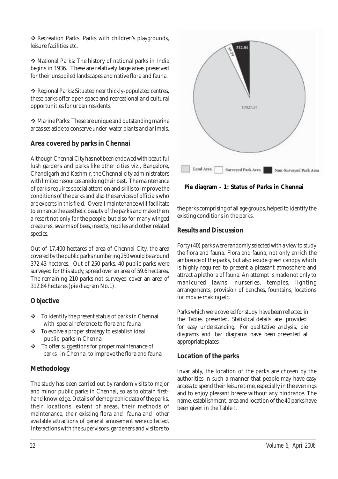\* Recreation Parks: Parks with children's playgrounds, leisure facilities etc.

! National Parks: The history of national parks in India begins in 1936. These are relatively large areas preserved for their unspoiled landscapes and native flora and fauna.

\* Regional Parks: Situated near thickly-populated centres, these parks offer open space and recreational and cultural opportunities for urban residents.

! Marine Parks: These are unique and outstanding marine areas set aside to conserve under-water plants and animals.

### **Area covered by parks in Chennai**

Although Chennai City has not been endowed with beautiful lush gardens and parks like other cities viz., Bangalore, Chandigarh and Kashmir, the Chennai city administrators with limited resources are doing their best. The maintenance of parks requires special attention and skills to improve the conditions of the parks and also the services of officials who are experts in this field. Overall maintenance will facilitate to enhance the aesthetic beauty of the parks and make them a resort not only for the people, but also for many winged creatures, swarms of bees, insects, reptiles and other related species.

Out of 17,400 hectares of area of Chennai City, the area covered by the public parks numbering 250 would be around 372.43 hectares. Out of 250 parks, 40 public parks were surveyed for this study, spread over an area of 59.6 hectares. The remaining 210 parks not surveyed cover an area of 312.84 hectares (pie diagram No.1).

### **Objective**

- $\div$  To identify the present status of parks in Chennai with special reference to flora and fauna
- \* To evolve a proper strategy to establish ideal public parks in Chennai
- $\div$  To offer suggestions for proper maintenance of parks in Chennai to improve the flora and fauna

## **Methodology**

The study has been carried out by random visits to major and minor public parks in Chennai, so as to obtain firsthand knowledge. Details of demographic data of the parks, their locations, extent of areas, their methods of maintenance, their existing flora and fauna and other available attractions of general amusement were collected. Interactions with the supervisors, gardeners and visitors to



**Pie diagram - 1: Status of Parks in Chennai**

the parks comprising of all age groups, helped to identify the existing conditions in the parks.

### **Results and Discussion**

Forty (40) parks were randomly selected with a view to study the flora and fauna. Flora and fauna, not only enrich the ambience of the parks, but also exude green canopy which is highly required to present a pleasant atmosphere and attract a plethora of fauna. An attempt is made not only to manicured lawns, nurseries, temples, lighting arrangements, provision of benches, fountains, locations for movie-making etc.

Parks which were covered for study have been reflected in the Tables presented. Statistical details are provided for easy understanding. For qualitative analysis, pie diagrams and bar diagrams have been presented at appropriate places.

### **Location of the parks**

Invariably, the location of the parks are chosen by the authorities in such a manner that people may have easy access to spend their leisure time, especially in the evenings and to enjoy pleasant breeze without any hindrance. The name, establishment, area and location of the 40 parks have been given in the Table I.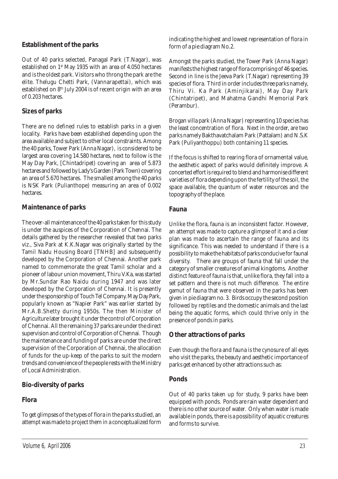#### **Establishment of the parks**

Out of 40 parks selected, Panagal Park (T.Nagar), was established on 1st May 1935 with an area of 4.050 hectares and is the oldest park. Visitors who throng the park are the elite. Thelugu Chetti Park, (Vannarapettai), which was established on 8th July 2004 is of recent origin with an area of 0.203 hectares.

### **Sizes of parks**

There are no defined rules to establish parks in a given locality. Parks have been established depending upon the area available and subject to other local constraints. Among the 40 parks, Tower Park (Anna Nagar), is considered to be largest area covering 14.580 hectares, next to follow is the May Day Park, [Chintadripet) covering an area of 5.873 hectares and followed by Lady's Garden (Park Town) covering an area of 5.670 hectares. The smallest among the 40 parks is NSK Park (Pulianthope) measuring an area of 0.002 hectares.

#### **Maintenance of parks**

The over-all maintenance of the 40 parks taken for this study is under the auspices of the Corporation of Chennai. The details gathered by the researcher revealed that two parks viz., Siva Park at K.K.Nagar was originally started by the Tamil Nadu Housing Board [TNHB] and subsequently developed by the Corporation of Chennai. Another park named to commemorate the great Tamil scholar and a pioneer of labour union movement, Thiru V.Ka, was started by Mr.Sundar Rao Naidu during 1947 and was later developed by the Corporation of Chennai. It is presently under the sponsorship of Touch Tel Company. May Day Park, popularly known as "Napier Park" was earlier started by Mr.A.B.Shetty during 1950s. The then Minister of Agriculture later brought it under the control of Corporation of Chennai. All the remaining 37 parks are under the direct supervision and control of Corporation of Chennai. Though the maintenance and funding of parks are under the direct supervision of the Corporation of Chennai, the allocation of funds for the up-keep of the parks to suit the modern trends and convenience of the people rests with the Ministry of Local Administration.

#### **Bio-diversity of parks**

#### **Flora**

To get glimpses of the types of flora in the parks studied, an attempt was made to project them in a conceptualized form indicating the highest and lowest representation of flora in form of a pie diagram No.2.

Amongst the parks studied, the Tower Park (Anna Nagar) manifests the highest range of flora comprising of 46 species. Second in line is the Jeeva Park (T.Nagar) representing 39 species of flora. Third in order includes three parks namely, Thiru Vi. Ka Park (Aminjikarai), May Day Park (Chintatripet), and Mahatma Gandhi Memorial Park (Perambur).

Brogan villa park (Anna Nagar) representing 10 species has the least concentration of flora. Next in the order, are two parks namely Bakthavatchalam Park (Pattalam) and N.S.K Park (Puliyanthoppu) both containing 11 species.

If the focus is shifted to rearing flora of ornamental value, the aesthetic aspect of parks would definitely improve. A concerted effort is required to blend and harmonise different varieties of flora depending upon the fertility of the soil, the space available, the quantum of water resources and the topography of the place.

#### **Fauna**

Unlike the flora, fauna is an inconsistent factor. However, an attempt was made to capture a glimpse of it and a clear plan was made to ascertain the range of fauna and its significance. This was needed to understand if there is a possibility to make the habitats of parks conducive for faunal diversity. There are groups of fauna that fall under the category of smaller creatures of animal kingdoms. Another distinct feature of fauna is that, unlike flora, they fall into a set pattern and there is not much difference. The entire gamut of fauna that were observed in the parks has been given in pie diagram no. 3. Birds occupy the second position followed by reptiles and the domestic animals and the last being the aquatic forms, which could thrive only in the presence of ponds in parks.

#### **Other attractions of parks**

Even though the flora and fauna is the cynosure of all eyes who visit the parks, the beauty and aesthetic importance of parks get enhanced by other attractions such as:

#### **Ponds**

Out of 40 parks taken up for study, 9 parks have been equipped with ponds. Ponds are rain water dependent and there is no other source of water. Only when water is made available in ponds, there is a possibility of aquatic creatures and forms to survive.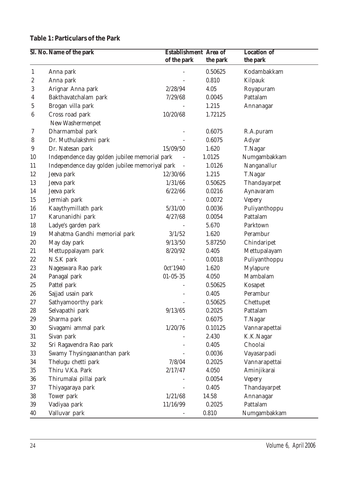## **Table 1: Particulars of the Park**

|                  | Sl. No. Name of the park                       | <b>Establishment</b> Area of |          | <b>Location of</b> |
|------------------|------------------------------------------------|------------------------------|----------|--------------------|
|                  |                                                | of the park                  | the park | the park           |
| $\mathbf{1}$     | Anna park                                      |                              | 0.50625  | Kodambakkam        |
| $\boldsymbol{2}$ | Anna park                                      |                              | 0.810    | Kilpauk            |
| 3                | Arignar Anna park                              | 2/28/94                      | 4.05     | Royapuram          |
| 4                | Bakthavatchalam park                           | 7/29/68                      | 0.0045   | Pattalam           |
| 5                | Brogan villa park                              |                              | 1.215    | Annanagar          |
| $\boldsymbol{6}$ | Cross road park                                | 10/20/68                     | 1.72125  |                    |
|                  | New Washermenpet                               |                              |          |                    |
| $\rm 7$          | Dharmambal park                                |                              | 0.6075   | R.A.puram          |
| 8                | Dr. Muthulakshmi park                          |                              | 0.6075   | Adyar              |
| 9                | Dr. Natesan park                               | 15/09/50                     | 1.620    | T.Nagar            |
| 10               | Independence day golden jubilee memorial park  |                              | 1.0125   | Numgambakkam       |
| 11               | Independence day golden jubilee memoriyal park |                              | 1.0126   | Nanganallur        |
| 12               | Jeeva park                                     | 12/30/66                     | 1.215    | T.Nagar            |
| 13               | Jeeva park                                     | 1/31/66                      | 0.50625  | Thandayarpet       |
| 14               | Jeeva park                                     | 6/22/66                      | 0.0216   | Aynavaram          |
| 15               | Jermiah park                                   |                              | 0.0072   | <b>Vepery</b>      |
| 16               | Kaaythymillath park                            | 5/31/00                      | 0.0036   | Puliyanthoppu      |
| 17               | Karunanidhi park                               | 4/27/68                      | 0.0054   | Pattalam           |
| 18               | Ladye's garden park                            |                              | 5.670    | Parktown           |
| 19               | Mahatma Gandhi memorial park                   | 3/1/52                       | 1.620    | Perambur           |
| 20               | May day park                                   | 9/13/50                      | 5.87250  | Chindaripet        |
| 21               | Mettuppalayam park                             | 8/20/92                      | 0.405    | Mettupalayam       |
| 22               | N.S.K park                                     |                              | 0.0018   | Puliyanthoppu      |
| 23               | Nageswara Rao park                             | 0ct'1940                     | 1.620    | Mylapure           |
| 24               | Panagal park                                   | $01 - 05 - 35$               | 4.050    | Mambalam           |
| 25               | Pattel park                                    |                              | 0.50625  | Kosapet            |
| 26               | Sajjad usain park                              |                              | 0.405    | Perambur           |
| $27\,$           | Sathyamoorthy park                             |                              | 0.50625  | Chettupet          |
| 28               | Selvapathi park                                | 9/13/65                      | 0.2025   | Pattalam           |
| 29               | Sharma park                                    |                              | 0.6075   | T.Nagar            |
| 30               | Sivagami ammal park                            | 1/20/76                      | 0.10125  | Vannarapettai      |
| 31               | Sivan park                                     |                              | 2.430    | K.K.Nagar          |
| $32\,$           | Sri Ragavendra Rao park                        |                              | 0.405    | Choolai            |
| 33               | Swamy Thysingaananthan park                    |                              | 0.0036   | Vayasarpadi        |
| 34               | Thelugu chetti park                            | 7/8/04                       | 0.2025   | Vannarapettai      |
| 35               | Thiru V.Ka. Park                               | 2/17/47                      | 4.050    | Aminjikarai        |
| 36               | Thirumalai pillai park                         |                              | 0.0054   | Vepery             |
| 37               | Thiyagaraya park                               |                              | 0.405    | Thandayarpet       |
| 38               | Tower park                                     | 1/21/68                      | 14.58    | Annanagar          |
| 39               | Vadiyaa park                                   | 11/16/99                     | 0.2025   | Pattalam           |
| 40               | Valluvar park                                  |                              | 0.810    | Numgambakkam       |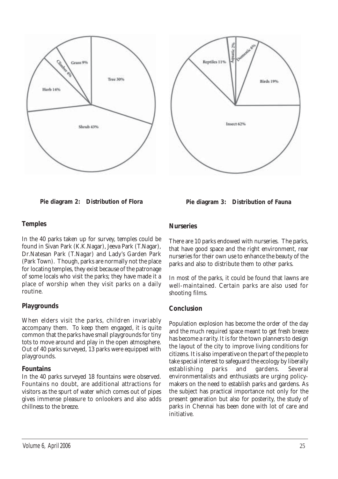





#### **Temples**

In the 40 parks taken up for survey, temples could be found in Sivan Park (K.K.Nagar), Jeeva Park (T.Nagar), Dr.Natesan Park (T.Nagar) and Lady's Garden Park (Park Town). Though, parks are normally not the place for locating temples, they exist because of the patronage of some locals who visit the parks; they have made it a place of worship when they visit parks on a daily routine.

#### **Playgrounds**

When elders visit the parks, children invariably accompany them. To keep them engaged, it is quite common that the parks have small playgrounds for tiny tots to move around and play in the open atmosphere. Out of 40 parks surveyed, 13 parks were equipped with playgrounds.

#### **Fountains**

In the 40 parks surveyed 18 fountains were observed. Fountains no doubt, are additional attractions for visitors as the spurt of water which comes out of pipes gives immense pleasure to onlookers and also adds chillness to the breeze.

#### **Nurseries**

There are 10 parks endowed with nurseries. The parks, that have good space and the right environment, rear nurseries for their own use to enhance the beauty of the parks and also to distribute them to other parks.

In most of the parks, it could be found that lawns are well-maintained. Certain parks are also used for shooting films.

### **Conclusion**

Population explosion has become the order of the day and the much required space meant to get fresh breeze has become a rarity. It is for the town planners to design the layout of the city to improve living conditions for citizens. It is also imperative on the part of the people to take special interest to safeguard the ecology by liberally establishing parks and gardens. Several environmentalists and enthusiasts are urging policymakers on the need to establish parks and gardens. As the subject has practical importance not only for the present generation but also for posterity, the study of parks in Chennai has been done with lot of care and initiative.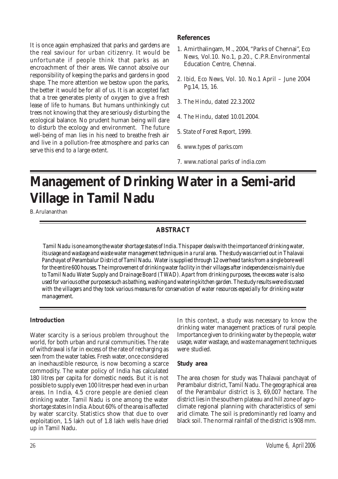It is once again emphasized that parks and gardens are the real saviour for urban citizenry. It would be unfortunate if people think that parks as an encroachment of their areas. We cannot absolve our responsibility of keeping the parks and gardens in good shape. The more attention we bestow upon the parks, the better it would be for all of us. It is an accepted fact that a tree generates plenty of oxygen to give a fresh lease of life to humans. But humans unthinkingly cut trees not knowing that they are seriously disturbing the ecological balance. No prudent human being will dare to disturb the ecology and environment. The future well-being of man lies in his need to breathe fresh air and live in a pollution-free atmosphere and parks can serve this end to a large extent.

#### **References**

- 1. Amirthalingam, M., 2004, "Parks of Chennai", *Eco News,* Vol.10. No.1, p.20., C.P.R.Environmental Education Centre, Chennai.
- 2. *Ibid, Eco News,* Vol. 10. No.1 April June 2004 Pg.14, 15, 16.
- 3. *The Hindu*, dated 22.3.2002
- 4. *The Hindu*, dated 10.01.2004.
- 5. *State of Forest Report*, 1999.
- 6. *www.types of parks.com*
- 7. *www.national parks of india.com*

# **Management of Drinking Water in a Semi-arid Village in Tamil Nadu**

B. Arulananthan

## **ABSTRACT**

*Tamil Nadu is one among the water shortage states of India. This paper deals with the importance of drinking water, its usage and wastage and waste water management techniques in a rural area. The study was carried out in Thalavai Panchayat of Perambalur District of Tamil Nadu. Water is supplied through 12 overhead tanks from a single bore well for the entire 600 houses. The improvement of drinking water facility in their villages after independence is mainly due to Tamil Nadu Water Supply and Drainage Board (TWAD). Apart from drinking purposes, the excess water is also used for various other purposes such as bathing, washing and watering kitchen garden. The study results were discussed with the villagers and they took various measures for conservation of water resources especially for drinking water management.*

#### **Introduction**

Water scarcity is a serious problem throughout the world, for both urban and rural communities. The rate of withdrawal is far in excess of the rate of recharging as seen from the water tables. Fresh water, once considered an inexhaustible resource, is now becoming a scarce commodity. The water policy of India has calculated 180 litres per capita for domestic needs. But it is not possible to supply even 100 litres per head even in urban areas. In India, 4.5 crore people are denied clean drinking water. Tamil Nadu is one among the water shortage states in India. About 60% of the area is affected by water scarcity. Statistics show that due to over exploitation, 1.5 lakh out of 1.8 lakh wells have dried up in Tamil Nadu.

In this context, a study was necessary to know the drinking water management practices of rural people. Importance given to drinking water by the people, water usage, water wastage, and waste management techniques were studied.

#### **Study area**

The area chosen for study was Thalavai panchayat of Perambalur district, Tamil Nadu. The geographical area of the Perambalur district is 3, 69,007 hectare. The district lies in the southern plateau and hill zone of agroclimate regional planning with characteristics of semi arid climate. The soil is predominantly red loamy and black soil. The normal rainfall of the district is 908 mm.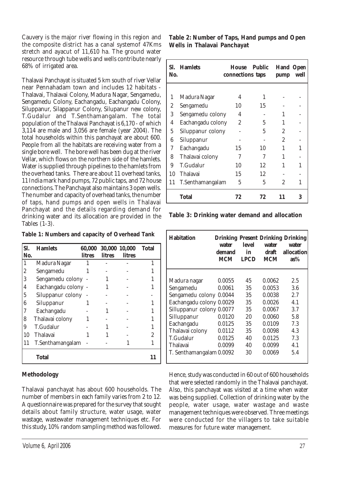Cauvery is the major river flowing in this region and the composite district has a canal systemof 47Kms stretch and ayacut of 11,610 ha. The ground water resource through tube wells and wells contribute nearly 68% of irrigated area.

Thalavai Panchayat is situated 5 km south of river Vellar near Pennahadam town and includes 12 habitats - Thalavai, Thalavai Colony, Madura Nagar, Sengamedu, Sengamedu Colony, Eachangadu, Eachangadu Colony, Siluppanur, Silappanur Colony, Silupanur new colony, T.Gudalur and T.Senthamangalam. The total population of the Thalavai Panchayat is 6,170 - of which 3,114 are male and 3,056 are female (year 2004). The total households within this panchayat are about 600. People from all the habitats are receiving water from a single bore well. The bore well has been dug at the river Vellar, which flows on the northern side of the hamlets. Water is supplied through pipelines to the hamlets from the overhead tanks. There are about 11 overhead tanks, 11 India mark hand pumps, 72 public taps, and 72 house connections. The Panchayat also maintains 3 open wells. The number and capacity of overhead tanks, the number of taps, hand pumps and open wells in Thalavai Panchayat and the details regarding demand for drinking water and its allocation are provided in the Tables (1-3).

**Table 1: Numbers and capacity of Overhead Tank**

| SI. | <b>Hamlets</b>      | 60,000        |        | 30,000 10,000 | <b>Total</b> |
|-----|---------------------|---------------|--------|---------------|--------------|
| No. |                     | <b>litres</b> | litres | litres        |              |
| 1   | Madura Nagar        |               |        |               |              |
| 2   | Sengamedu           |               |        |               |              |
| 3   | Sengamedu colony    |               |        |               |              |
| 4   | Eachangadu colony - |               |        |               |              |
| 5   | Siluppanur colony   |               |        |               |              |
| 6   | Siluppanur          |               |        |               |              |
| 7   | Eachangadu          |               |        |               |              |
| 8   | Thalavai colony     |               |        |               |              |
| 9   | T.Gudalur           |               |        |               |              |
| 10  | Thalavai            |               |        |               | 2            |
| 11  | T.Senthamangalam    |               |        |               |              |
|     | <b>Total</b>        |               |        |               | 11           |

#### **Methodology**

Thalavai panchayat has about 600 households. The number of members in each family varies from 2 to 12. A questionnaire was prepared for the survey that sought details about family structure, water usage, water wastage, wastewater management techniques etc. For this study, 10% random sampling method was followed. **Table 2: Number of Taps, Hand pumps and Open Wells in Thalavai Panchayat**

| SI. –<br>No. | <b>Hamlets</b>    | House<br>connections taps | <b>Public</b> | <b>Hand Open</b><br>pump | well |
|--------------|-------------------|---------------------------|---------------|--------------------------|------|
|              |                   |                           |               |                          |      |
| 1            | Madura Nagar      | 4                         | 1             |                          |      |
| 2            | Sengamedu         | 10                        | 15            |                          |      |
| 3            | Sengamedu colony  | 4                         |               | 1                        |      |
| 4            | Eachangadu colony | $\overline{2}$            | 5             | 1                        |      |
| 5            | Siluppanur colony |                           | 5             | $\overline{2}$           |      |
| 6            | Siluppanur        |                           |               | $\overline{2}$           |      |
| 7            | Eachangadu        | 15                        | 10            | 1                        | 1    |
| 8            | Thalavai colony   | 7                         | 7             | 1                        |      |
| 9            | T.Gudalur         | 10                        | 12            |                          | 1    |
| 10           | <b>Thalavai</b>   | 15                        | 12            |                          |      |
| 11           | T.Senthamangalam  | 5                         | 5             | 2                        | 1    |
|              | Total             | 72                        | 72            | 11                       | 3    |

**Table 3: Drinking water demand and allocation**

| <b>Habitation</b>         | water<br>demand<br><b>MCM</b> | level<br>in<br><b>LPCD</b> | water<br>draft<br><b>MCM</b> | <b>Drinking Present Drinking Drinking</b><br>water<br>allocation<br>$as\%$ |
|---------------------------|-------------------------------|----------------------------|------------------------------|----------------------------------------------------------------------------|
| Madura nagar              | 0.0055                        | 45                         | 0.0062                       | 2.5                                                                        |
| Sengamedu                 | 0.0061                        | 35                         | 0.0053                       | 3.6                                                                        |
| Sengamedu colony          | 0.0044                        | 35                         | 0.0038                       | 2.7                                                                        |
| Eachangadu colony 0.0029  |                               | 35                         | 0.0026                       | 4.1                                                                        |
| Silluppanur colony 0.0077 |                               | 35                         | 0.0067                       | 3.7                                                                        |
| Silluppanur               | 0.0120                        | 20                         | 0.0060                       | 5.8                                                                        |
| Eachangadu                | 0.0125                        | 35                         | 0.0109                       | 7.3                                                                        |
| Thalavai colony           | 0.0112                        | 35                         | 0.0098                       | 4.3                                                                        |
| T.Gudalur                 | 0.0125                        | 40                         | 0.0125                       | 7.3                                                                        |
| Thalavai                  | 0.0099                        | 40                         | 0.0099                       | 4.1                                                                        |
| T. Senthamangalam 0.0092  |                               | 30                         | 0.0069                       | 5.4                                                                        |
|                           |                               |                            |                              |                                                                            |

Hence, study was conducted in 60 out of 600 households that were selected randomly in the Thalavai panchayat. Also, this panchayat was visited at a time when water was being supplied. Collection of drinking water by the people, water usage, water wastage and waste management techniques were observed. Three meetings were conducted for the villagers to take suitable measures for future water management.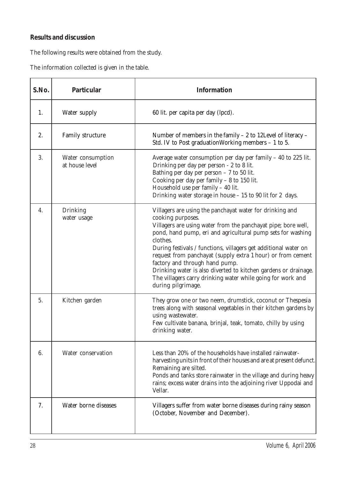## **Results and discussion**

The following results were obtained from the study.

The information collected is given in the table.

| S.No. | Particular                          | Information                                                                                                                                                                                                                                                                                                                                                                                                                                                                                                                                           |
|-------|-------------------------------------|-------------------------------------------------------------------------------------------------------------------------------------------------------------------------------------------------------------------------------------------------------------------------------------------------------------------------------------------------------------------------------------------------------------------------------------------------------------------------------------------------------------------------------------------------------|
| 1.    | Water supply                        | 60 lit. per capita per day (lpcd).                                                                                                                                                                                                                                                                                                                                                                                                                                                                                                                    |
| 2.    | Family structure                    | Number of members in the family $-2$ to 12Level of literacy $-$<br>Std. IV to Post graduation Working members $-1$ to 5.                                                                                                                                                                                                                                                                                                                                                                                                                              |
| 3.    | Water consumption<br>at house level | Average water consumption per day per family $-$ 40 to 225 lit.<br>Drinking per day per person - 2 to 8 lit.<br>Bathing per day per person $-7$ to 50 lit.<br>Cooking per day per family - 8 to 150 lit.<br>Household use per family - 40 lit.<br>Drinking water storage in house $-15$ to 90 lit for 2 days.                                                                                                                                                                                                                                         |
| 4.    | Drinking<br>water usage             | Villagers are using the panchayat water for drinking and<br>cooking purposes.<br>Villagers are using water from the panchayat pipe; bore well,<br>pond, hand pump, eri and agricultural pump sets for washing<br>clothes.<br>During festivals / functions, villagers get additional water on<br>request from panchayat (supply extra 1 hour) or from cement<br>factory and through hand pump.<br>Drinking water is also diverted to kitchen gardens or drainage.<br>The villagers carry drinking water while going for work and<br>during pilgrimage. |
| 5.    | Kitchen garden                      | They grow one or two neem, drumstick, coconut or Thespesia<br>trees along with seasonal vegetables in their kitchen gardens by<br>using wastewater.<br>Few cultivate banana, brinjal, teak, tomato, chilly by using<br>drinking water.                                                                                                                                                                                                                                                                                                                |
| 6.    | Water conservation                  | Less than 20% of the households have installed rainwater-<br>harvesting units in front of their houses and are at present defunct.<br>Remaining are silted.<br>Ponds and tanks store rainwater in the village and during heavy<br>rains; excess water drains into the adjoining river Uppodai and<br>Vellar.                                                                                                                                                                                                                                          |
| 7.    | Water borne diseases                | Villagers suffer from water borne diseases during rainy season<br>(October, November and December).                                                                                                                                                                                                                                                                                                                                                                                                                                                   |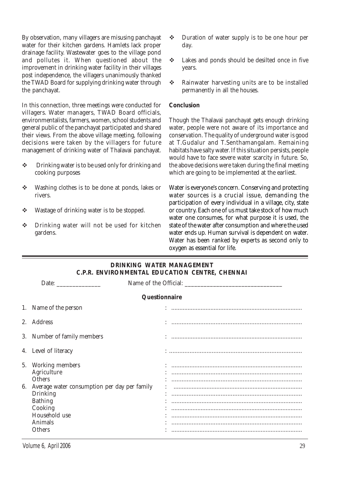By observation, many villagers are misusing panchayat water for their kitchen gardens. Hamlets lack proper drainage facility. Wastewater goes to the village pond and pollutes it. When questioned about the improvement in drinking water facility in their villages post independence, the villagers unanimously thanked the TWAD Board for supplying drinking water through the panchayat.

In this connection, three meetings were conducted for villagers. Water managers, TWAD Board officials, environmentalists, farmers, women, school students and general public of the panchayat participated and shared their views. From the above village meeting, following decisions were taken by the villagers for future management of drinking water of Thalavai panchayat.

- $\div$  Drinking water is to be used only for drinking and cooking purposes
- $\div$  Washing clothes is to be done at ponds, lakes or rivers.
- $\cdot \cdot$  Wastage of drinking water is to be stopped.
- $\div$  Drinking water will not be used for kitchen gardens.
- $\div$  Duration of water supply is to be one hour per day.
- $\div$  Lakes and ponds should be desilted once in five years.
- $\div$  Rainwater harvesting units are to be installed permanently in all the houses.

#### **Conclusion**

Though the Thalavai panchayat gets enough drinking water, people were not aware of its importance and conservation. The quality of underground water is good at T.Gudalur and T.Senthamangalam. Remaining habitats have salty water. If this situation persists, people would have to face severe water scarcity in future. So, the above decisions were taken during the final meeting which are going to be implemented at the earliest.

Water is everyone's concern. Conserving and protecting water sources is a crucial issue, demanding the participation of every individual in a village, city, state or country. Each one of us must take stock of how much water one consumes, for what purpose it is used, the state of the water after consumption and where the used water ends up. Human survival is dependent on water. Water has been ranked by experts as second only to oxygen as essential for life.

| <b>DRINKING WATER MANAGEMENT</b><br>C.P.R. ENVIRONMENTAL EDUCATION CENTRE, CHENNAI                    |                                    |  |  |  |  |  |
|-------------------------------------------------------------------------------------------------------|------------------------------------|--|--|--|--|--|
| Date: $\qquad \qquad$                                                                                 |                                    |  |  |  |  |  |
| Questionnaire                                                                                         |                                    |  |  |  |  |  |
| 1. Name of the person                                                                                 |                                    |  |  |  |  |  |
| 2. Address                                                                                            |                                    |  |  |  |  |  |
| 3. Number of family members                                                                           |                                    |  |  |  |  |  |
| 4. Level of literacy                                                                                  |                                    |  |  |  |  |  |
| 5. Working members<br>Agriculture<br><b>Others</b><br>6. Average water consumption per day per family | : …………………………………………………………………………………… |  |  |  |  |  |
| <b>Drinking</b><br><b>Bathing</b><br>Cooking<br>Household use<br><b>Animals</b><br><b>Others</b>      |                                    |  |  |  |  |  |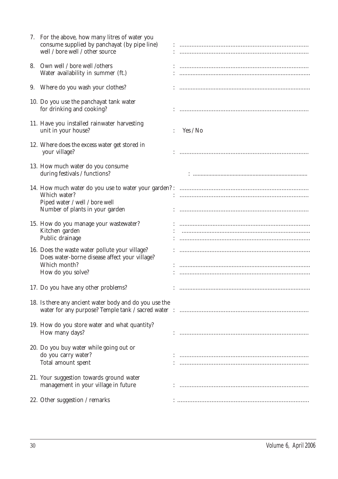| 7. For the above, how many litres of water you<br>consume supplied by panchayat (by pipe line)<br>well / bore well / other source    |          |
|--------------------------------------------------------------------------------------------------------------------------------------|----------|
| 8. Own well / bore well / others<br>Water availability in summer (ft.)                                                               |          |
| 9. Where do you wash your clothes?                                                                                                   |          |
| 10. Do you use the panchayat tank water<br>for drinking and cooking?                                                                 |          |
| 11. Have you installed rainwater harvesting<br>unit in your house?                                                                   | Yes / No |
| 12. Where does the excess water get stored in<br>your village?                                                                       |          |
| 13. How much water do you consume<br>during festivals / functions?                                                                   |          |
| Which water?<br>Piped water / well / bore well<br>Number of plants in your garden                                                    |          |
| 15. How do you manage your wastewater?<br>Kitchen garden<br>Public drainage                                                          |          |
| 16. Does the waste water pollute your village?<br>Does water-borne disease affect your village?<br>Which month?<br>How do you solve? |          |
| 17. Do you have any other problems?                                                                                                  |          |
| 18. Is there any ancient water body and do you use the                                                                               |          |
| 19. How do you store water and what quantity?<br>How many days?                                                                      |          |
| 20. Do you buy water while going out or<br>do you carry water?<br>Total amount spent                                                 |          |
| 21. Your suggestion towards ground water<br>management in your village in future                                                     |          |
| 22. Other suggestion / remarks                                                                                                       |          |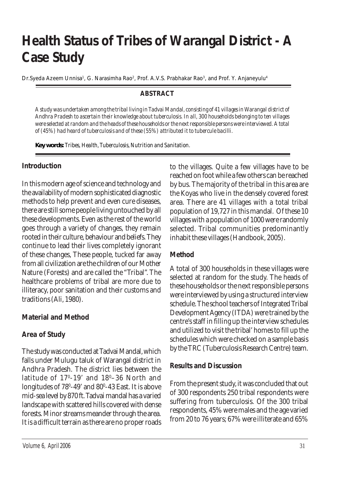# **Health Status of Tribes of Warangal District - A Case Study**

*Dr.Syeda Azeem Unnisa1 , G. Narasimha Rao2, Prof. A.V.S. Prabhakar Rao3, and Prof. Y. Anjaneyulu4*

## **ABSTRACT**

*A study was undertaken among the tribal living in Tadvai Mandal, consisting of 41 villages in Warangal district of Andhra Pradesh to ascertain their knowledge about tuberculosis. In all, 300 households belonging to ten villages were selected at random and the heads of these households or the next responsible persons were interviewed. A total of (45%) had heard of tuberculosis and of these (55%) attributed it to tubercule bacilli.*

*Key words: Tribes, Health, Tuberculosis, Nutrition and Sanitation.*

### **Introduction**

In this modern age of science and technology and the availability of modern sophisticated diagnostic methods to help prevent and even cure diseases, there are still some people living untouched by all these developments. Even as the rest of the world goes through a variety of changes, they remain rooted in their culture, behaviour and beliefs. They continue to lead their lives completely ignorant of these changes, These people, tucked far away from all civilization are the children of our Mother Nature (Forests) and are called the "Tribal". The healthcare problems of tribal are more due to illiteracy, poor sanitation and their customs and traditions (Ali, 1980).

## **Material and Method**

### **Area of Study**

The study was conducted at Tadvai Mandal, which falls under Mulugu taluk of Warangal district in Andhra Pradesh. The district lies between the latitude of 17º-19' and 18º–36 North and longitudes of 78º-49' and 80º-43 East. It is above mid-sea level by 870 ft. Tadvai mandal has a varied landscape with scattered hills covered with dense forests. Minor streams meander through the area. It is a difficult terrain as there are no proper roads to the villages. Quite a few villages have to be reached on foot while a few others can be reached by bus. The majority of the tribal in this area are the Koyas who live in the densely covered forest area. There are 41 villages with a total tribal population of 19,727 in this mandal. Of these 10 villages with a population of 1000 were randomly selected. Tribal communities predominantly inhabit these villages (Handbook, 2005).

## **Method**

A total of 300 households in these villages were selected at random for the study. The heads of these households or the next responsible persons were interviewed by using a structured interview schedule. The school teachers of Integrated Tribal Development Agency (ITDA) were trained by the centre's staff in filling up the interview schedules and utilized to visit the tribal' homes to fill up the schedules which were checked on a sample basis by the TRC (Tuberculosis Research Centre) team.

### **Results and Discussion**

From the present study, it was concluded that out of 300 respondents 250 tribal respondents were suffering from tuberculosis. Of the 300 tribal respondents, 45% were males and the age varied from 20 to 76 years; 67% were illiterate and 65%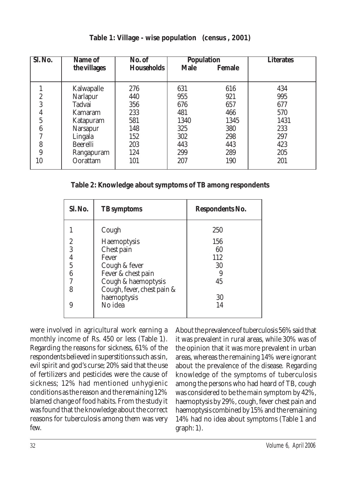| Sl. No.          | <b>Population</b><br>No. of<br>Name of |                   |             | <b>Literates</b> |      |
|------------------|----------------------------------------|-------------------|-------------|------------------|------|
|                  | the villages                           | <b>Households</b> | <b>Male</b> | <b>Female</b>    |      |
|                  |                                        |                   |             |                  |      |
|                  | Kalwapalle                             | 276               | 631         | 616              | 434  |
| $\overline{c}$   | <b>Narlapur</b>                        | 440               | 955         | 921              | 995  |
| 3                | Tadvai                                 | 356               | 676         | 657              | 677  |
| $\boldsymbol{4}$ | Kamaram                                | 233               | 481         | 466              | 570  |
| 5                | Katapuram                              | 581               | 1340        | 1345             | 1431 |
| $\boldsymbol{6}$ | <b>Narsapur</b>                        | 148               | 325         | 380              | 233  |
| Η                | Lingala                                | 152               | 302         | 298              | 297  |
| 8                | <b>Beerelli</b>                        | 203               | 443         | 443              | 423  |
| 9                | Rangapuram                             | 124               | 299         | 289              | 205  |
| 10               | Oorattam                               | 101               | 207         | 190              | 201  |

**Table 1: Village - wise population (census , 2001)**

**Table 2: Knowledge about symptoms of TB among respondents**

| Sl. No. | <b>TB</b> symptoms         | Respondents No. |
|---------|----------------------------|-----------------|
|         | Cough                      | 250             |
| 2       | Haemoptysis                | 156             |
| 3       | Chest pain                 | 60              |
| 4       | Fever                      | 112             |
| 5       | Cough & fever              | 30              |
| 6       | Fever & chest pain         |                 |
| 7       | Cough & haemoptysis        | 45              |
| 8       | Cough, fever, chest pain & |                 |
|         | haemoptysis                | 30              |
| 9       | No idea                    | 14              |
|         |                            |                 |

were involved in agricultural work earning a monthly income of Rs. 450 or less (Table 1). Regarding the reasons for sickness, 61% of the respondents believed in superstitions such as sin, evil spirit and god's curse; 20% said that the use of fertilizers and pesticides were the cause of sickness; 12% had mentioned unhygienic conditions as the reason and the remaining 12% blamed change of food habits. From the study it was found that the knowledge about the correct reasons for tuberculosis among them was very few.

About the prevalence of tuberculosis 56% said that it was prevalent in rural areas, while 30% was of the opinion that it was more prevalent in urban areas, whereas the remaining 14% were ignorant about the prevalence of the disease. Regarding knowledge of the symptoms of tuberculosis among the persons who had heard of TB, cough was considered to be the main symptom by 42%, haemoptysis by 29%, cough, fever chest pain and haemoptysis combined by 15% and the remaining 14% had no idea about symptoms (Table 1 and graph: 1).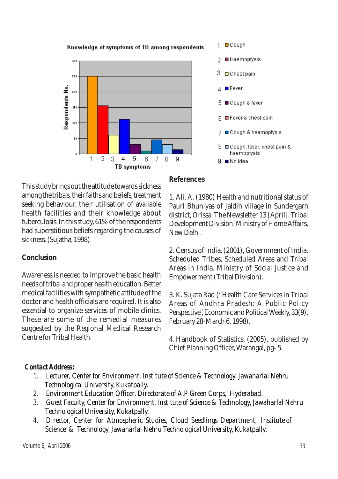

This study brings out the attitude towards sickness among the tribals, their faiths and beliefs, treatment seeking behaviour, their utilisation of available health facilities and their knowledge about tuberculosis. In this study, 61% of the respondents had superstitious beliefs regarding the causes of sickness. (Sujatha, 1998).

## **Conclusion**

Awareness is needed to improve the basic health needs of tribal and proper health education. Better medical facilities with sympathetic attitude of the doctor and health officials are required. It is also essential to organize services of mobile clinics. These are some of the remedial measures suggested by the Regional Medical Research Centre for Tribal Health.

## **References**

1. Ali, A. (1980) Health and nutritional status of Pauri Bhuniyas of Jaldih village in Sundergarh district, Orissa. The Newsletter 13 [April]. Tribal Development Division. Ministry of Home Affairs, New Delhi.

2. Census of India, (2001), Government of India. Scheduled Tribes, Scheduled Areas and Tribal Areas in India. Ministry of Social Justice and Empowerment (Tribal Division).

3. K. Sujata Rao ("Health Care Services in Tribal Areas of Andhra Pradesh: A Public Policy Perspective", Economic and Political Weekly, 33(9), February 28-March 6, 1998).

4. Handbook of Statistics, (2005), published by Chief Planning Officer, Warangal, pg- 5.

## *Contact Address :*

- *1. Lecturer, Center for Environment, Institute of Science & Technology, Jawaharlal Nehru Technological University, Kukatpally.*
- *2. Environment Education Officer, Directorate of A.P Green Corps, Hyderabad.*
- *3. Guest Faculty, Center for Environment, Institute of Science & Technology, Jawaharlal Nehru Technological University, Kukatpally.*
- *4. Director, Center for Atmospheric Studies, Cloud Seedlings Department, Institute of Science & Technology, Jawaharlal Nehru Technological University, Kukatpally.*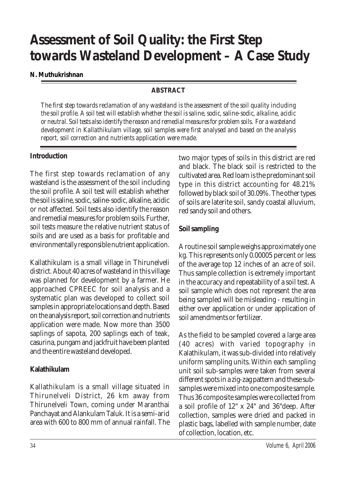# **Assessment of Soil Quality: the First Step towards Wasteland Development – A Case Study**

#### **N. Muthukrishnan**

## **ABSTRACT**

*The first step towards reclamation of any wasteland is the assessment of the soil quality including the soil profile. A soil test will establish whether the soil is saline, sodic, saline-sodic, alkaline, acidic or neutral. Soil tests also identify the reason and remedial measures for problem soils. For a wasteland development in Kallathikulam village, soil samples were first analysed and based on the analysis report, soil correction and nutrients application were made.*

## **Introduction**

The first step towards reclamation of any wasteland is the assessment of the soil including the soil profile. A soil test will establish whether the soil is saline, sodic, saline-sodic, alkaline, acidic or not affected. Soil tests also identify the reason and remedial measures for problem soils. Further, soil tests measure the relative nutrient status of soils and are used as a basis for profitable and environmentally responsible nutrient application.

Kallathikulam is a small village in Thirunelveli district. About 40 acres of wasteland in this village was planned for development by a farmer. He approached CPREEC for soil analysis and a systematic plan was developed to collect soil samples in appropriate locations and depth. Based on the analysis report, soil correction and nutrients application were made. Now more than 3500 saplings of sapota, 200 saplings each of teak, casurina, pungam and jackfruit have been planted and the entire wasteland developed.

## **Kalathikulam**

Kallathikulam is a small village situated in Thirunelveli District, 26 km away from Thirunelveli Town, coming under Maranthai Panchayat and Alankulam Taluk. It is a semi-arid area with 600 to 800 mm of annual rainfall. The two major types of soils in this district are red and black. The black soil is restricted to the cultivated area. Red loam is the predominant soil type in this district accounting for 48.21% followed by black soil of 30.09%. The other types of soils are laterite soil, sandy coastal alluvium, red sandy soil and others.

## **Soil sampling**

A routine soil sample weighs approximately one kg. This represents only 0.00005 percent or less of the average top 12 inches of an acre of soil. Thus sample collection is extremely important in the accuracy and repeatability of a soil test. A soil sample which does not represent the area being sampled will be misleading - resulting in either over application or under application of soil amendments or fertilizer.

As the field to be sampled covered a large area (40 acres) with varied topography in Kalathikulam, it was sub-divided into relatively uniform sampling units. Within each sampling unit soil sub-samples were taken from several different spots in a zig-zag pattern and these subsamples were mixed into one composite sample. Thus 36 composite samples were collected from a soil profile of 12" x 24" and 36"deep. After collection, samples were dried and packed in plastic bags, labelled with sample number, date of collection, location, etc.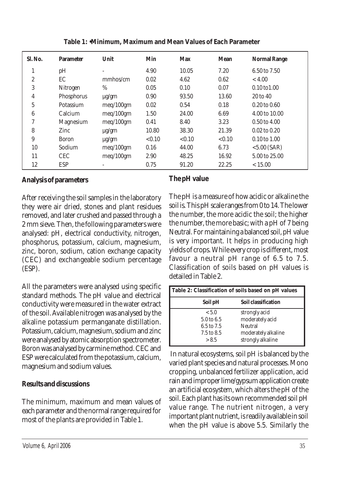| Sl. No.          | <b>Parameter</b> | Unit       | Min    | <b>Max</b> | <b>Mean</b> | <b>Normal Range</b>     |
|------------------|------------------|------------|--------|------------|-------------|-------------------------|
| 1                | pH               |            | 4.90   | 10.05      | 7.20        | 6.50 to 7.50            |
| $\boldsymbol{2}$ | EC               | mmhos/cm   | 0.02   | 4.62       | 0.62        | < 4.00                  |
| 3                | Nitrogen         | $\%$       | 0.05   | 0.10       | 0.07        | $0.10 \text{ to } 1.00$ |
| $\overline{4}$   | Phosphorus       | $\mu$ g/gm | 0.90   | 93.50      | 13.60       | 20 to 40                |
| $\overline{5}$   | Potassium        | meq/100gm  | 0.02   | 0.54       | 0.18        | $0.20 \text{ to } 0.60$ |
| 6                | Calcium          | meq/100gm  | 1.50   | 24.00      | 6.69        | 4.00 to 10.00           |
| 7                | <b>Magnesium</b> | meq/100gm  | 0.41   | 8.40       | 3.23        | $0.50$ to $4.00$        |
| 8                | Zinc             | $\mu$ g/gm | 10.80  | 38.30      | 21.39       | $0.02 \text{ to } 0.20$ |
| 9                | <b>Boron</b>     | $\mu$ g/gm | < 0.10 | < 0.10     | < 0.10      | $0.10$ to $1.00$        |
| 10               | Sodium           | meq/100gm  | 0.16   | 44.00      | 6.73        | $< 5.00$ (SAR)          |
| 11               | <b>CEC</b>       | meq/100gm  | 2.90   | 48.25      | 16.92       | 5.00 to 25.00           |
| 12               | <b>ESP</b>       |            | 0.75   | 91.20      | 22.25       | < 15.00                 |

**Table 1: •Minimum, Maximum and Mean Values of Each Parameter**

## **Analysis of parameters**

After receiving the soil samples in the laboratory they were air dried, stones and plant residues removed, and later crushed and passed through a 2 mm sieve. Then, the following parameters were analysed: pH, electrical conductivity, nitrogen, phosphorus, potassium, calcium, magnesium, zinc, boron, sodium, cation exchange capacity (CEC) and exchangeable sodium percentage (ESP).

All the parameters were analysed using specific standard methods. The pH value and electrical conductivity were measured in the water extract of the soil. Available nitrogen was analysed by the alkaline potassium permanganate distillation. Potassium, calcium, magnesium, sodium and zinc were analysed by atomic absorption spectrometer. Boron was analysed by carmine method. CEC and ESP were calculated from the potassium, calcium, magnesium and sodium values.

## **Results and discussions**

The minimum, maximum and mean values of each parameter and the normal range required for most of the plants are provided in Table 1.

## **The pH value**

The pH is a measure of how acidic or alkaline the soil is. This pH scale ranges from 0 to 14. The lower the number, the more acidic the soil; the higher the number, the more basic; with a pH of 7 being Neutral. For maintaining a balanced soil, pH value is very important. It helps in producing high yields of crops. While every crop is different, most favour a neutral pH range of 6.5 to 7.5. Classification of soils based on pH values is detailed in Table 2.

| Table 2: Classification of soils based on pH values                 |                                                                                         |  |  |  |
|---------------------------------------------------------------------|-----------------------------------------------------------------------------------------|--|--|--|
| Soil pH                                                             | Soil classification                                                                     |  |  |  |
| < 5.0<br>5.0 to 6.5<br>6.5 to 7.5<br>$7.5 \text{ to } 8.5$<br>> 8.5 | strongly acid<br>moderately acid<br>Neutral<br>moderately alkaline<br>strongly alkaline |  |  |  |

 In natural ecosystems, soil pH is balanced by the varied plant species and natural processes. Mono cropping, unbalanced fertilizer application, acid rain and improper lime/gypsum application create an artificial ecosystem, which alters the pH of the soil. Each plant has its own recommended soil pH value range. The nutrient nitrogen, a very important plant nutrient, is readily available in soil when the pH value is above 5.5. Similarly the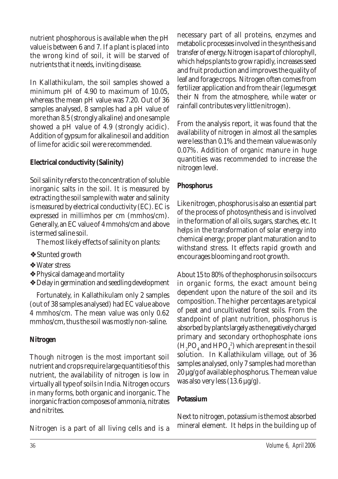nutrient phosphorous is available when the pH value is between 6 and 7. If a plant is placed into the wrong kind of soil, it will be starved of nutrients that it needs, inviting disease.

In Kallathikulam, the soil samples showed a minimum pH of 4.90 to maximum of 10.05, whereas the mean pH value was 7.20. Out of 36 samples analysed, 8 samples had a pH value of more than 8.5 (strongly alkaline) and one sample showed a pH value of 4.9 (strongly acidic). Addition of gypsum for alkaline soil and addition of lime for acidic soil were recommended.

## **Electrical conductivity (Salinity)**

Soil salinity refers to the concentration of soluble inorganic salts in the soil. It is measured by extracting the soil sample with water and salinity is measured by electrical conductivity (EC). EC is expressed in millimhos per cm (mmhos/cm). Generally, an EC value of 4 mmohs/cm and above is termed saline soil.

The most likely effects of salinity on plants:

- ❖Stunted growth
- ❖Water stress
- ❖Physical damage and mortality
- ❖Delay in germination and seedling development

Fortunately, in Kallathikulam only 2 samples (out of 38 samples analysed) had EC value above 4 mmhos/cm. The mean value was only 0.62 mmhos/cm, thus the soil was mostly non-saline.

## **Nitrogen**

Though nitrogen is the most important soil nutrient and crops require large quantities of this nutrient, the availability of nitrogen is low in virtually all type of soils in India. Nitrogen occurs in many forms, both organic and inorganic. The inorganic fraction composes of ammonia, nitrates and nitrites.

Nitrogen is a part of all living cells and is a

necessary part of all proteins, enzymes and metabolic processes involved in the synthesis and transfer of energy. Nitrogen is a part of chlorophyll, which helps plants to grow rapidly, increases seed and fruit production and improves the quality of leaf and forage crops. Nitrogen often comes from fertilizer application and from the air (legumes get their N from the atmosphere, while water or rainfall contributes very little nitrogen).

From the analysis report, it was found that the availability of nitrogen in almost all the samples were less than 0.1% and the mean value was only 0.07%. Addition of organic manure in huge quantities was recommended to increase the nitrogen level.

## **Phosphorus**

Like nitrogen, phosphorus is also an essential part of the process of photosynthesis and is involved in the formation of all oils, sugars, starches, etc. It helps in the transformation of solar energy into chemical energy; proper plant maturation and to withstand stress. It effects rapid growth and encourages blooming and root growth.

About 15 to 80% of the phosphorus in soils occurs in organic forms, the exact amount being dependent upon the nature of the soil and its composition. The higher percentages are typical of peat and uncultivated forest soils. From the standpoint of plant nutrition, phosphorus is absorbed by plants largely as the negatively charged primary and secondary orthophosphate ions  $(H_2PO_4$  and  $HPO_4^2)$  which are present in the soil solution. In Kallathikulam village, out of 36 samples analysed, only 7 samples had more than 20 µg/g of available phosphorus. The mean value was also very less (13.6 µg/g).

## **Potassium**

Next to nitrogen, potassium is the most absorbed mineral element. It helps in the building up of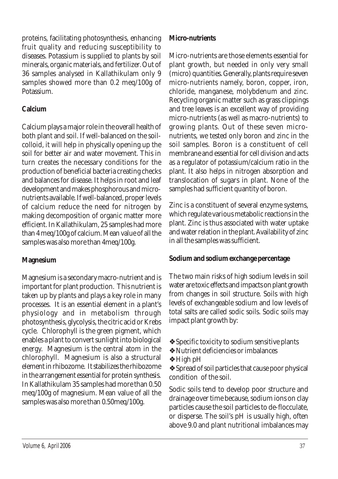proteins, facilitating photosynthesis, enhancing fruit quality and reducing susceptibility to diseases. Potassium is supplied to plants by soil minerals, organic materials, and fertilizer. Out of 36 samples analysed in Kallathikulam only 9 samples showed more than 0.2 meq/100g of Potassium.

## **Calcium**

Calcium plays a major role in the overall health of both plant and soil. If well-balanced on the soilcolloid, it will help in physically opening up the soil for better air and water movement. This in turn creates the necessary conditions for the production of beneficial bacteria creating checks and balances for disease. It helps in root and leaf development and makes phosphorous and micronutrients available. If well-balanced, proper levels of calcium reduce the need for nitrogen by making decomposition of organic matter more efficient. In Kallathikulam, 25 samples had more than 4 meq/100g of calcium. Mean value of all the samples was also more than 4meq/100g.

## **Magnesium**

Magnesium is a secondary macro-nutrient and is important for plant production. This nutrient is taken up by plants and plays a key role in many processes. It is an essential element in a plant's physiology and in metabolism through photosynthesis, glycolysis, the citric acid or Krebs cycle. Chlorophyll is the green pigment, which enables a plant to convert sunlight into biological energy. Magnesium is the central atom in the chlorophyll. Magnesium is also a structural element in rhibozome. It stabilizes the rhibozome in the arrangement essential for protein synthesis. In Kallathikulam 35 samples had more than 0.50 meq/100g of magnesium. Mean value of all the samples was also more than 0.50meq/100g.

## **Micro-nutrients**

Micro-nutrients are those elements essential for plant growth, but needed in only very small (micro) quantities. Generally, plants require seven micro-nutrients namely, boron, copper, iron, chloride, manganese, molybdenum and zinc. Recycling organic matter such as grass clippings and tree leaves is an excellent way of providing micro-nutrients (as well as macro-nutrients) to growing plants. Out of these seven micronutrients, we tested only boron and zinc in the soil samples. Boron is a constituent of cell membrane and essential for cell division and acts as a regulator of potassium/calcium ratio in the plant. It also helps in nitrogen absorption and translocation of sugars in plant. None of the samples had sufficient quantity of boron.

Zinc is a constituent of several enzyme systems, which regulate various metabolic reactions in the plant. Zinc is thus associated with water uptake and water relation in the plant. Availability of zinc in all the samples was sufficient.

## **Sodium and sodium exchange percentage**

The two main risks of high sodium levels in soil water are toxic effects and impacts on plant growth from changes in soil structure. Soils with high levels of exchangeable sodium and low levels of total salts are called sodic soils. Sodic soils may impact plant growth by:

- ❖Specific toxicity to sodium sensitive plants
- ❖Nutrient deficiencies or imbalances
- ❖High pH

❖Spread of soil particles that cause poor physical condition of the soil.

Sodic soils tend to develop poor structure and drainage over time because, sodium ions on clay particles cause the soil particles to de-flocculate, or disperse. The soil's pH is usually high, often above 9.0 and plant nutritional imbalances may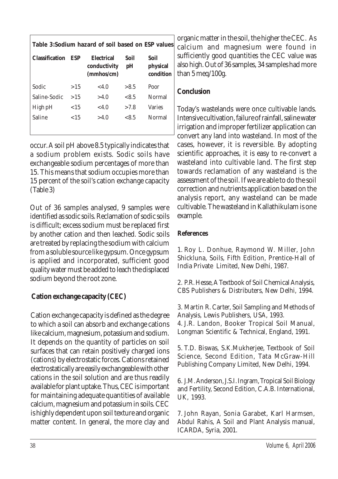| Table 3:Sodium hazard of soil based on ESP values |         |                                          |            |                               |  |
|---------------------------------------------------|---------|------------------------------------------|------------|-------------------------------|--|
| <b>Classification</b>                             | ESP     | Electrical<br>conductivity<br>(mmbos/cm) | Soil<br>pH | Soil<br>physical<br>condition |  |
| Sodic                                             | >1.5    | <4.0                                     | >8.5       | Poor                          |  |
| Saline-Sodic                                      | >15     | >4.0                                     | < 8.5      | Normal                        |  |
| High pH                                           | ${<}15$ | <4.0                                     | >7.8       | <b>Varies</b>                 |  |
| Saline                                            | ${<}15$ | >4.0                                     | < 8.5      | Normal                        |  |
|                                                   |         |                                          |            |                               |  |

occur. A soil pH above 8.5 typically indicates that a sodium problem exists. Sodic soils have exchangeable sodium percentages of more than 15. This means that sodium occupies more than 15 percent of the soil's cation exchange capacity (Table 3)

Out of 36 samples analysed, 9 samples were identified as sodic soils. Reclamation of sodic soils is difficult; excess sodium must be replaced first by another cation and then leached. Sodic soils are treated by replacing the sodium with calcium from a soluble source like gypsum. Once gypsum is applied and incorporated, sufficient good quality water must be added to leach the displaced sodium beyond the root zone.

## **Cation exchange capacity (CEC)**

Cation exchange capacity is defined as the degree to which a soil can absorb and exchange cations like calcium, magnesium, potassium and sodium. It depends on the quantity of particles on soil surfaces that can retain positively charged ions (cations) by electrostatic forces. Cations retained electrostatically are easily exchangeable with other cations in the soil solution and are thus readily available for plant uptake. Thus, CEC is important for maintaining adequate quantities of available calcium, magnesium and potassium in soils. CEC is highly dependent upon soil texture and organic matter content. In general, the more clay and

organic matter in the soil, the higher the CEC. As calcium and magnesium were found in sufficiently good quantities the CEC value was also high. Out of 36 samples, 34 samples had more than 5 meq/100g.

## **Conclusion**

Today's wastelands were once cultivable lands. Intensive cultivation, failure of rainfall, saline water irrigation and improper fertilizer application can convert any land into wasteland. In most of the cases, however, it is reversible. By adopting scientific approaches, it is easy to re-convert a wasteland into cultivable land. The first step towards reclamation of any wasteland is the assessment of the soil. If we are able to do the soil correction and nutrients application based on the analysis report, any wasteland can be made cultivable. The wasteland in Kallathikulam is one example.

## **References**

1. Roy L. Donhue, Raymond W. Miller, John Shickluna, Soils, Fifth Edition, Prentice-Hall of India Private Limited, New Delhi, 1987.

2. P.R. Hesse, A Textbook of Soil Chemical Analysis, CBS Publishers & Distributers, New Delhi, 1994.

3. Martin R. Carter, Soil Sampling and Methods of Analysis, Lewis Publishers, USA, 1993.

4. J.R. Landon, Booker Tropical Soil Manual, Longman Scientific & Technical, England, 1991.

5. T.D. Biswas, S.K.Mukherjee, Textbook of Soil Science, Second Edition, Tata McGraw-Hill Publishing Company Limited, New Delhi, 1994.

6. J.M. Anderson, J.S.I. Ingram, Tropical Soil Biology and Fertility, Second Edition, C.A.B. International, UK, 1993.

7. John Rayan, Sonia Garabet, Karl Harmsen, Abdul Rahis, A Soil and Plant Analysis manual, ICARDA, Syria, 2001.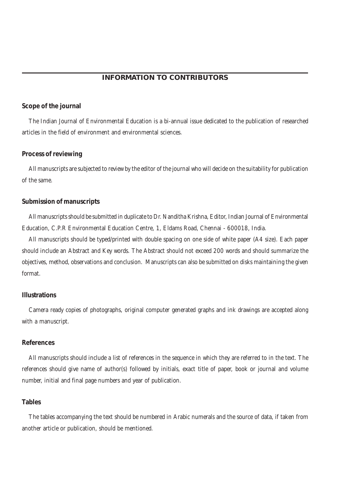#### **INFORMATION TO CONTRIBUTORS**

#### **Scope of the journal**

The Indian Journal of Environmental Education is a bi-annual issue dedicated to the publication of researched articles in the field of environment and environmental sciences.

#### **Process of reviewing**

All manuscripts are subjected to review by the editor of the journal who will decide on the suitability for publication of the same.

#### **Submission of manuscripts**

All manuscripts should be submitted in duplicate to Dr. Nanditha Krishna, Editor, Indian Journal of Environmental Education, C.P.R Environmental Education Centre, 1, Eldams Road, Chennai - 600018, India.

All manuscripts should be typed/printed with double spacing on one side of white paper (A4 size). Each paper should include an Abstract and Key words. The Abstract should not exceed 200 words and should summarize the objectives, method, observations and conclusion. Manuscripts can also be submitted on disks maintaining the given format.

#### **Illustrations**

Camera ready copies of photographs, original computer generated graphs and ink drawings are accepted along with a manuscript.

#### **References**

All manuscripts should include a list of references in the sequence in which they are referred to in the text. The references should give name of author(s) followed by initials, exact title of paper, book or journal and volume number, initial and final page numbers and year of publication.

#### **Tables**

The tables accompanying the text should be numbered in Arabic numerals and the source of data, if taken from another article or publication, should be mentioned.